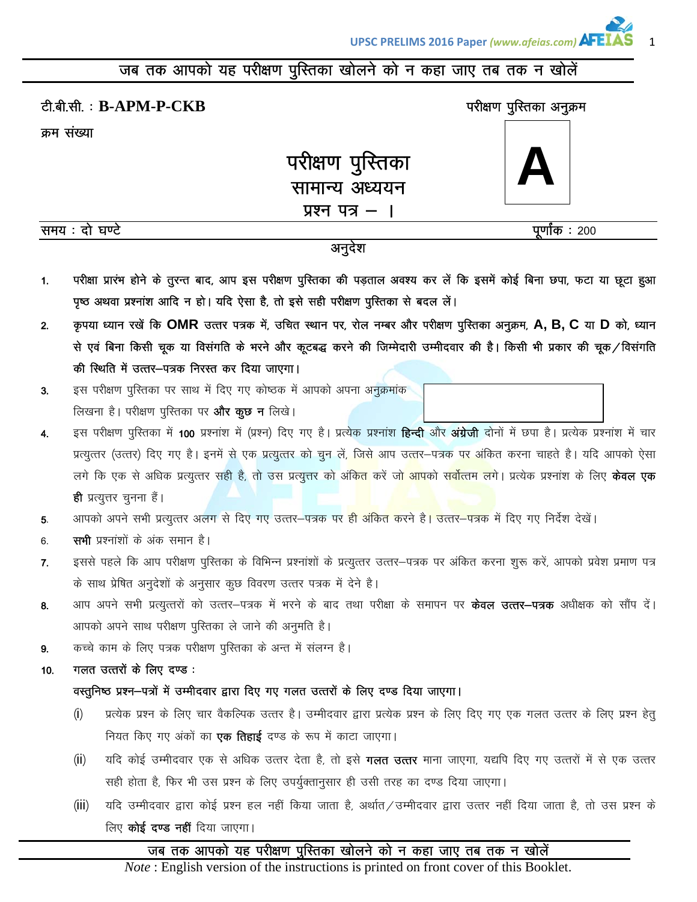# जब तक आपको यह परीक्षण पुस्तिका खोलने को न कहा जाए तब तक न खोलें

|                |                | टी.बी.सी.: B-APM-P-CKB                                                                                                                                                                                         | परीक्षण पुस्तिका अनुक्रम |
|----------------|----------------|----------------------------------------------------------------------------------------------------------------------------------------------------------------------------------------------------------------|--------------------------|
|                | क्रम संख्या    |                                                                                                                                                                                                                |                          |
|                |                | परीक्षण पुस्तिका<br>सामान्य अध्ययन                                                                                                                                                                             |                          |
|                | समय : दो घण्टे | प्रश्न पत्र –                                                                                                                                                                                                  | पूर्णांक : 200           |
|                |                | अनुदेश                                                                                                                                                                                                         |                          |
| $\mathbf{1}$ . |                | परीक्षा प्रारंभ होने के तुरन्त बाद, आप इस परीक्षण पुस्तिका की पड़ताल अवश्य कर लें कि इसमें कोई बिना छपा, फटा या छूटा हुआ<br>पृष्ठ अथवा प्रश्नांश आदि न हो। यदि ऐसा है, तो इसे सही परीक्षण पुस्तिका से बदल लें। |                          |
| 2.             |                | कृपया ध्यान रखें कि OMR उत्तर पत्रक में, उचित स्थान पर, रोल नम्बर और परीक्षण पुस्तिका अनुक्रम, A, B, C या D को, ध्यान                                                                                          |                          |
|                |                | से एवं बिना किसी चूक या विसंगति के भरने और कूटबद्ध करने की जिम्मेदारी उम्मीदवार की है। किसी भी प्रकार की चूक⁄विसंगति<br>की स्थिति में उत्तर-पत्रक निरस्त कर दिया जाएगा।                                        |                          |
| 3.             |                | इस परीक्षण पुरितका पर साथ में दिए गए कोष्ठक में आपको अपना अनुक्रमांक                                                                                                                                           |                          |
|                |                | लिखना है। परीक्षण पुस्तिका पर <b>और कुछ न</b> लिखे।                                                                                                                                                            |                          |
| 4.             |                | इस परीक्षण पुस्तिका में 100 प्रश्नांश में (प्रश्न) दिए गए है। प्रत्येक प्रश्नांश <b>हिन्दी</b> और <b>अंग्रेजी</b> दोनों में छपा है। प्रत्येक प्रश्नांश में चार                                                 |                          |
|                |                | प्रत्युत्तर (उत्तर) दिए गए है। इनमें से एक प्रत्युत्तर को चुन लें, जिसे आप उत्तर–पत्रक पर अंकित करना चाहते है। यदि आपको ऐसा                                                                                    |                          |
|                |                | लगे कि एक से अधिक प्रत्युत्तर सही है, तो उस प्रत्युत्तर को अंकि <mark>त</mark> करें ज <mark>ो आप</mark> को स <mark>र्वोत्तम लगे। प्र</mark> त्येक प्रश्नांश के लिए <b>केवल एक</b>                              |                          |
|                |                | <b>ही</b> प्रत्युत्तर चुनना है।                                                                                                                                                                                |                          |
| 5.             |                | आपको अपने सभी प्रत्युत्तर अलग से दिए गए उत्तर–पत्रक पर ही अंकित करने है। उत्तर–पत्रक में दिए गए निर्देश देखें।                                                                                                 |                          |
| 6.             |                | <b>सभी</b> प्रश्नांशों के अंक समान है।                                                                                                                                                                         |                          |
| 7.             |                | इससे पहले कि आप परीक्षण पुस्तिका के विभिन्न प्रश्नांशों के प्रत्युत्तर उत्तर–पत्रक पर अंकित करना शुरू करें, आपको प्रवेश प्रमाण पत्र<br>के साथ प्रेषित अनुदेशों के अनुसार कुछ विवरण उत्तर पत्रक में देने है।    |                          |
| 8.             |                | आप अपने सभी प्रत्युत्तरों को उत्तर–पत्रक में भरने के बाद तथा परीक्षा के समापन पर <b>केवल उत्तर–पत्रक</b> अधीक्षक को सौंप दें।                                                                                  |                          |
|                |                | आपको अपने साथ परीक्षण पुस्तिका ले जाने की अनुमति है।                                                                                                                                                           |                          |
| 9.             |                | कच्चे काम के लिए पत्रक परीक्षण पुस्तिका के अन्त में संलग्न है।                                                                                                                                                 |                          |
| 10.            |                | गलत उत्तरों के लिए दण्ड :                                                                                                                                                                                      |                          |
|                |                | वस्तुनिष्ठ प्रश्न–पत्रों में उम्मीदवार द्वारा दिए गए गलत उत्तरों के लिए दण्ड दिया जाएगा।                                                                                                                       |                          |
|                | (i)            | प्रत्येक प्रश्न के लिए चार वैकल्पिक उत्तर है। उम्मीदवार द्वारा प्रत्येक प्रश्न के लिए दिए गए एक गलत उत्तर के लिए प्रश्न हेतु                                                                                   |                          |
|                |                | नियत किए गए अंकों का <b>एक तिहाई</b> दण्ड के रूप में काटा जाएगा।                                                                                                                                               |                          |
|                | (ii)           | यदि कोई उम्मीदवार एक से अधिक उत्तर देता है, तो इसे <b>गलत उत्तर</b> माना जाएगा, यद्यपि दिए गए उत्तरों में से एक उत्तर                                                                                          |                          |
|                |                | सही होता है, फिर भी उस प्रश्न के लिए उपर्युक्तानुसार ही उसी तरह का दण्ड दिया जाएगा।                                                                                                                            |                          |
|                | (iii)          | यदि उम्मीदवार द्वारा कोई प्रश्न हल नहीं किया जाता है, अर्थात/उम्मीदवार द्वारा उत्तर नहीं दिया जाता है, तो उस प्रश्न के                                                                                         |                          |
|                |                | लिए <b>कोई दण्ड नहीं</b> दिया जाएगा।                                                                                                                                                                           |                          |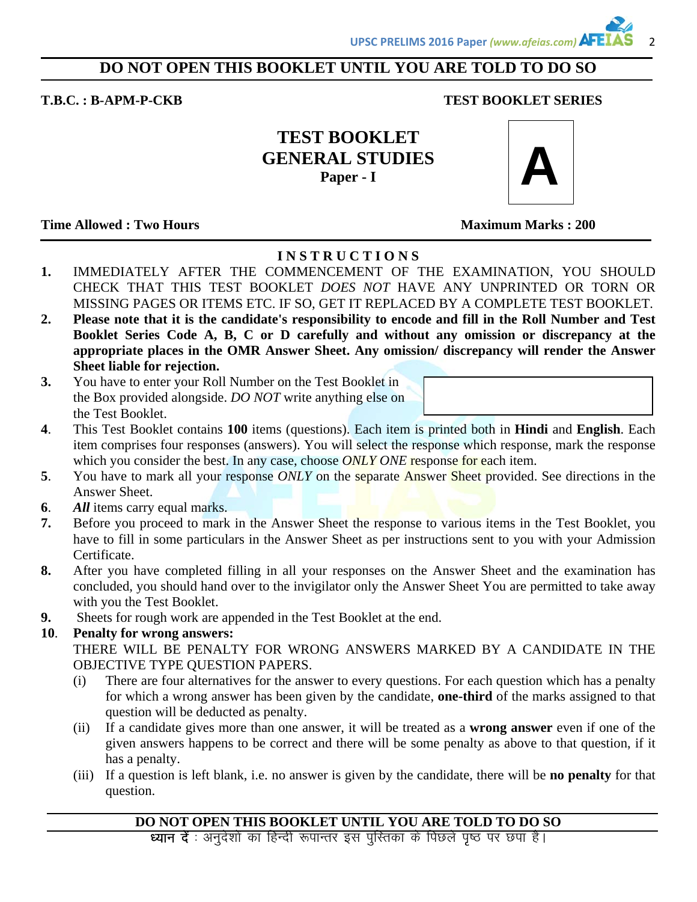## **DO NOT OPEN THIS BOOKLET UNTIL YOU ARE TOLD TO DO SO**

### **T.B.C. : B-APM-P-CKB TEST BOOKLET SERIES**

**TEST BOOKLET GENERAL STUDIES Paper - I** 



**Time Allowed : Two Hours Maximum Marks : 200**  Maximum Marks : 200

# **I N S T R U C T I O N S**

- **1.** IMMEDIATELY AFTER THE COMMENCEMENT OF THE EXAMINATION, YOU SHOULD CHECK THAT THIS TEST BOOKLET *DOES NOT* HAVE ANY UNPRINTED OR TORN OR MISSING PAGES OR ITEMS ETC. IF SO, GET IT REPLACED BY A COMPLETE TEST BOOKLET.
- **2. Please note that it is the candidate's responsibility to encode and fill in the Roll Number and Test Booklet Series Code A, B, C or D carefully and without any omission or discrepancy at the appropriate places in the OMR Answer Sheet. Any omission/ discrepancy will render the Answer Sheet liable for rejection.**
- **3.** You have to enter your Roll Number on the Test Booklet in the Box provided alongside. *DO NOT* write anything else on the Test Booklet.
- **4**. This Test Booklet contains **100** items (questions). Each item is printed both in **Hindi** and **English**. Each item comprises four responses (answers). You will select the response which response, mark the response which you consider the best. In any case, choose *ONLY ONE* response for each item.
- **5**. You have to mark all your response *ONLY* on the separate Answer Sheet provided. See directions in the Answer Sheet.
- **6**. *All* items carry equal marks.
- **7.** Before you proceed to mark in the Answer Sheet the response to various items in the Test Booklet, you have to fill in some particulars in the Answer Sheet as per instructions sent to you with your Admission Certificate.
- **8.** After you have completed filling in all your responses on the Answer Sheet and the examination has concluded, you should hand over to the invigilator only the Answer Sheet You are permitted to take away with you the Test Booklet.
- **9.** Sheets for rough work are appended in the Test Booklet at the end.

# **10**. **Penalty for wrong answers:**

 THERE WILL BE PENALTY FOR WRONG ANSWERS MARKED BY A CANDIDATE IN THE OBJECTIVE TYPE QUESTION PAPERS.

- (i) There are four alternatives for the answer to every questions. For each question which has a penalty for which a wrong answer has been given by the candidate, **one-third** of the marks assigned to that question will be deducted as penalty.
- (ii) If a candidate gives more than one answer, it will be treated as a **wrong answer** even if one of the given answers happens to be correct and there will be some penalty as above to that question, if it has a penalty.
- (iii) If a question is left blank, i.e. no answer is given by the candidate, there will be **no penalty** for that question.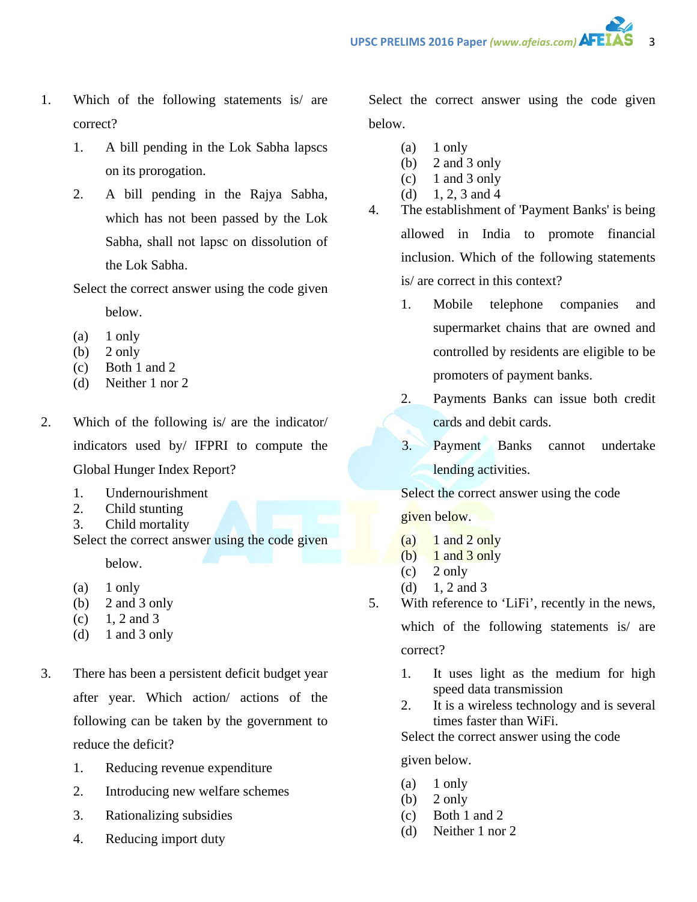- 1. Which of the following statements is/ are correct?
	- 1. A bill pending in the Lok Sabha lapscs on its prorogation.
	- 2. A bill pending in the Rajya Sabha, which has not been passed by the Lok Sabha, shall not lapsc on dissolution of the Lok Sabha.

Select the correct answer using the code given

below.

- $(a)$  1 only
- $(b)$  2 only
- (c) Both 1 and 2
- (d) Neither 1 nor 2
- 2. Which of the following is/ are the indicator/ indicators used by/ IFPRI to compute the Global Hunger Index Report?
	- 1. Undernourishment
	- 2. Child stunting
	- 3. Child mortality
	- Select the correct answer using the code given below.
	- $(a)$  1 only
	- (b) 2 and 3 only
	- $(c)$  1, 2 and 3
	- (d)  $1$  and  $3$  only
- 3. There has been a persistent deficit budget year after year. Which action/ actions of the following can be taken by the government to reduce the deficit?
	- 1. Reducing revenue expenditure
	- 2. Introducing new welfare schemes
	- 3. Rationalizing subsidies
	- 4. Reducing import duty

Select the correct answer using the code given below.

- $(a)$  1 only
- (b) 2 and 3 only
- $(c)$  1 and 3 only
- (d) 1, 2, 3 and 4
- 4. The establishment of 'Payment Banks' is being allowed in India to promote financial inclusion. Which of the following statements is/ are correct in this context?
	- 1. Mobile telephone companies and supermarket chains that are owned and controlled by residents are eligible to be promoters of payment banks.
	- 2. Payments Banks can issue both credit cards and debit cards.
	- 3. Payment Banks cannot undertake lending activities.

Select the correct answer using the code

given below.

- (a)  $1$  and  $2$  only
- (b)  $1$  and  $3$  only
- $(c)$  2 only
- (d)  $1, 2$  and 3
- 5. With reference to 'LiFi', recently in the news, which of the following statements is/ are

correct?

- 1. It uses light as the medium for high speed data transmission
- 2. It is a wireless technology and is several times faster than WiFi.

Select the correct answer using the code

given below.

- $(a)$  1 only
- (b)  $2 \text{ only}$
- (c) Both 1 and 2
- (d) Neither 1 nor 2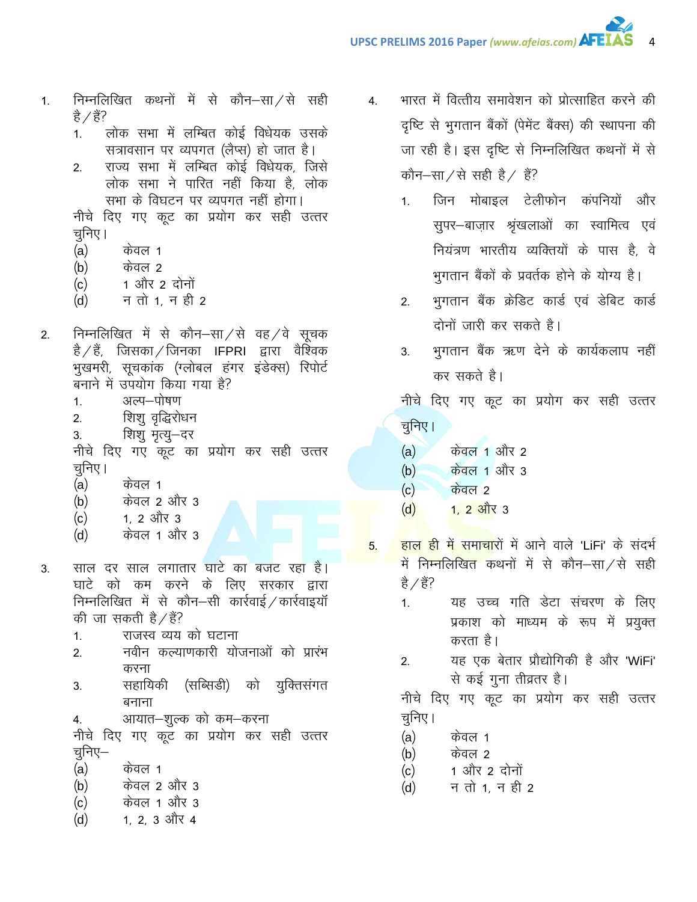- निम्नलिखित कथनों में से कौन–सा $/$ से सही  $1.$ है ∕ हैं?
	- लोक सभा में लम्बित कोई विधेयक उसके  $1<sup>1</sup>$ सत्रावसान पर व्यपगत (लैप्स) हो जात है।
	- राज्य सभा में लम्बित कोई विधेयक, जिसे  $2.$ लोक सभा ने पारित नहीं किया है, लोक सभा के विघटन पर व्यपगत नहीं होगा।

नीचे दिए गए कूट का प्रयोग कर सही उत्तर चुनिए।

- $(a)$ केवल 1
- $(b)$ केवल 2
- 1 और 2 दोनों  $(c)$
- न तो 1, न ही 2  $(d)$
- निम्नलिखित में से कौन-सा/से वह/वे सूचक  $2.$ है ⁄ हैं, जिसका ⁄ जिनका IFPRI द्वारा वैश्विक भुखमरी, सूचकांक (ग्लोबल हंगर इंडेक्स) रिपोर्ट बनाने में उपयोग किया गया है?
	- अल्प-पोषण  $1<sub>1</sub>$
	- शिशु वृद्धिरोधन  $2.$
	- शिशु मृत्यु—दर 3.

नीचे दिए गए कूट का प्रयोग कर सही उत्तर चुनिए।

- $(a)$ केवल 1
- $(b)$ केवल 2 और 3
- 1. 2 और 3  $(c)$
- केवल 1 और 3  $(d)$
- साल दर साल लगातार घाटे का बजट रहा है। 3. घाटे को कम करने के लिए सरकार द्वारा निम्नलिखित में से कौन-सी कार्रवाई / कार्रवाइयॉ की जा सकती है / हैं?
	- राजस्व व्यय को घटाना  $1<sub>1</sub>$
	- नवीन कल्याणकारी योजनाओं को प्रारंभ  $2.$ करना
	- सहायिकी (सब्सिडी) को युक्तिसंगत  $\overline{3}$ . बनाना
	- आयात–शुल्क को कम–करना 4.

नीचे दिए गए कूट का प्रयोग कर सही उत्तर चूनिए–

- $(a)$ केवल 1
- केवल 2 और 3  $(b)$
- केवल 1 और 3  $(c)$
- 1, 2, 3 और 4  $(d)$
- भारत में वित्तीय समावेशन को प्रोत्साहित करने की  $\overline{4}$ . दृष्टि से भुगतान बैंकों (पेमेंट बैंक्स) की स्थापना की जा रही है। इस दृष्टि से निम्नलिखित कथनों में से कौन-सा/से सही है/ हैं?
	- जिन मोबाइल टेलीफोन कंपनियों और  $1<sub>1</sub>$ सूपर-बाज़ार श्रृंखलाओं का स्वामित्व एवं नियंत्रण भारतीय व्यक्तियों के पास है, वे भुगतान बैंकों के प्रवर्तक होने के योग्य है।
	- भुगतान बैंक क्रेडिट कार्ड एवं डेबिट कार्ड  $2.$ दोनों जारी कर सकते है।
	- भगतान बैंक ऋण देने के कार्यकलाप नहीं  $3.$ कर सकते है।

नीचे दिए गए कूट का प्रयोग कर सही उत्तर चुनिए।

- $(a)$ केवल 1 और 2
- केवल 1 और 3  $(b)$
- <u>केवल 2</u>  $(c)$
- $(d)$ <u>1. 2 और 3</u>
- हाल ही में समाचारों में आने वाले 'LiFi' के संदर्भ 5. में निम्नलिखित कथनों में से कौन-सा/से सही है ∕ हैं?
	- यह उच्च गति डेटा संचरण के लिए  $1<sup>1</sup>$ प्रकाश को माध्यम के रूप में प्रयुक्त करता है।
	- यह एक बेतार प्रौद्योगिकी है और 'WiFi'  $2.$ से कई गुना तीव्रतर है।

नीचे दिए गए कूट का प्रयोग कर सही उत्तर चुनिए ।

- $(a)$ केवल 1
- $(b)$ केवल 2
- 1 और 2 दोनों  $(c)$
- न तो 1, न ही 2  $(d)$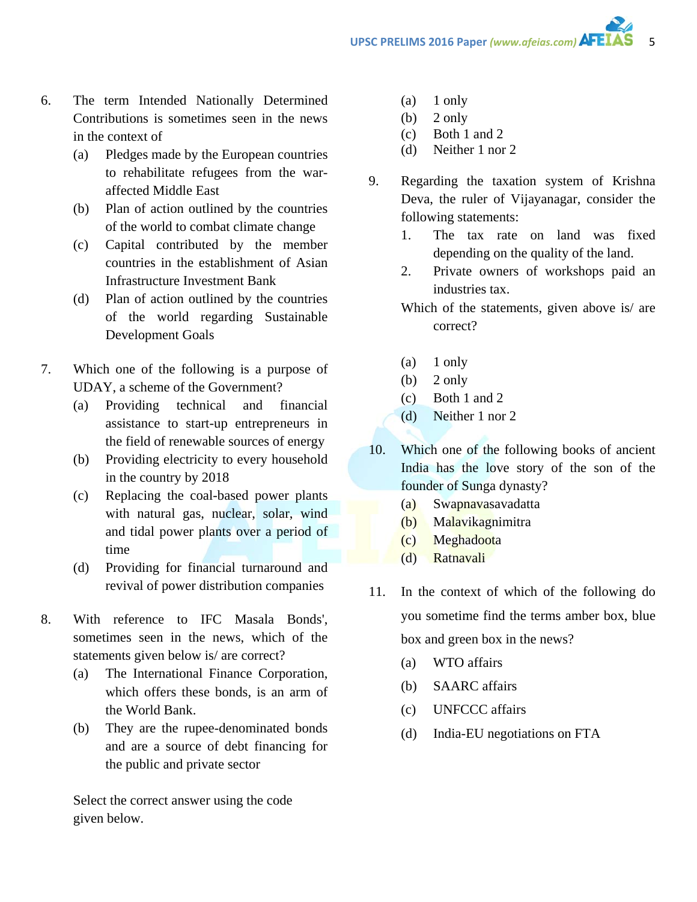- 6. The term Intended Nationally Determined Contributions is sometimes seen in the news in the context of
	- (a) Pledges made by the European countries to rehabilitate refugees from the waraffected Middle East
	- (b) Plan of action outlined by the countries of the world to combat climate change
	- (c) Capital contributed by the member countries in the establishment of Asian Infrastructure Investment Bank
	- (d) Plan of action outlined by the countries of the world regarding Sustainable Development Goals
- 7. Which one of the following is a purpose of UDAY, a scheme of the Government?
	- (a) Providing technical and financial assistance to start-up entrepreneurs in the field of renewable sources of energy
	- (b) Providing electricity to every household in the country by 2018
	- (c) Replacing the coal-based power plants with natural gas, nuclear, solar, wind and tidal power plants over a period of time
	- (d) Providing for financial turnaround and revival of power distribution companies
- 8. With reference to IFC Masala Bonds', sometimes seen in the news, which of the statements given below is/ are correct?
	- (a) The International Finance Corporation, which offers these bonds, is an arm of the World Bank.
	- (b) They are the rupee-denominated bonds and are a source of debt financing for the public and private sector

Select the correct answer using the code given below.

- (a) 1 only
- (b)  $2 \text{ only}$
- (c) Both 1 and 2
- (d) Neither 1 nor 2
- 9. Regarding the taxation system of Krishna Deva, the ruler of Vijayanagar, consider the following statements:
	- 1. The tax rate on land was fixed depending on the quality of the land.
	- 2. Private owners of workshops paid an industries tax.
	- Which of the statements, given above is/ are correct?
	- (a) 1 only
	- (b)  $2 \text{ only}$
	- (c) Both 1 and 2
	- (d) Neither 1 nor 2
- 10. Which one of the following books of ancient India has the love story of the son of the founder of Sunga dynasty?
	- (a) Swapnavasavadatta
	- (b) Malavikagnimitra
	- (c) Meghadoota
	- (d) Ratnavali
- 11. In the context of which of the following do you sometime find the terms amber box, blue box and green box in the news?
	- (a) WTO affairs
	- (b) SAARC affairs
	- (c) UNFCCC affairs
	- (d) India-EU negotiations on FTA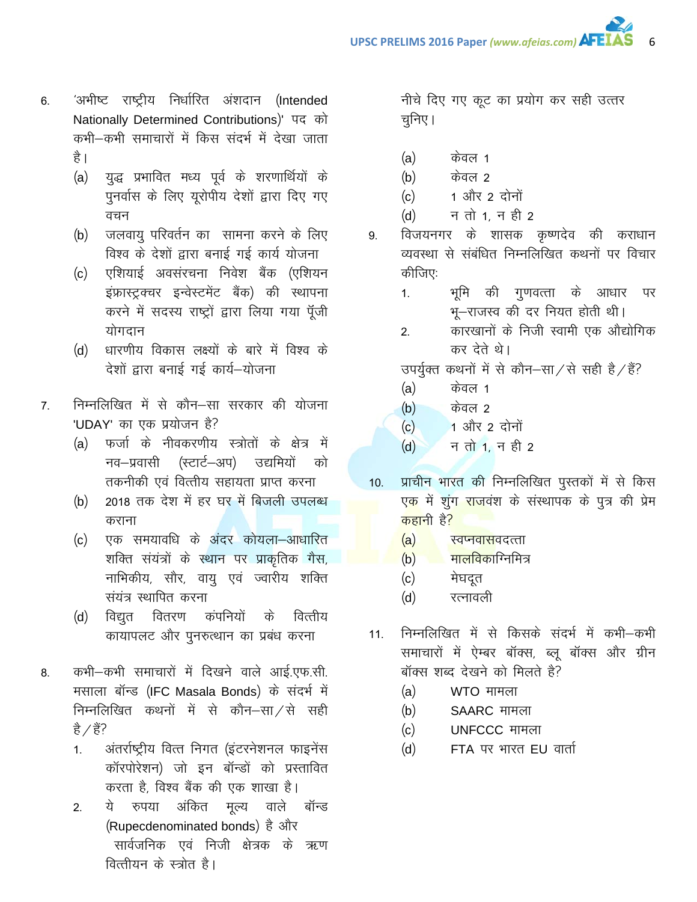- 'अभीष्ट राष्ट्रीय निर्धारित अंशदान (Intended 6. Nationally Determined Contributions)' पद को कभी–कभी समाचारों में किस संदर्भ में देखा जाता है ।
	- युद्ध प्रभावित मध्य पूर्व के शरणार्थियों के  $(a)$ पुनर्वास के लिए यूरोपीय देशों द्वारा दिए गए वचन
	- जलवायु परिवर्तन का सामना करने के लिए  $(b)$ विश्व के देशों द्वारा बनाई गई कार्य योजना
	- एशियाई अवसंरचना निवेश बैंक (एशियन  $(c)$ इंफ्रास्ट्रक्चर इन्वेस्टमेंट बैंक) की स्थापना करने में सदस्य राष्ट्रों द्वारा लिया गया पूँजी योगदान
	- (d) धारणीय विकास लक्ष्यों के बारे में विश्व के देशों द्वारा बनाई गई कार्य-योजना
- निम्नलिखित में से कौन–सा सरकार की योजना  $7<sub>1</sub>$ 'UDAY' का एक प्रयोजन है?
	- (a) फर्जा के नीवकरणीय स्त्रोतों के क्षेत्र में नव–प्रवासी (स्टार्ट–अप) उद्यमियों को तकनीकी एवं वित्तीय सहायता प्राप्त करना
	- 2018 तक देश में हर घर में बिजली उपलब्ध  $(b)$ कराना
	- एक समयावधि के अंदर कोयला–आधारित  $(c)$ शक्ति संयंत्रों के स्थान पर प्राकृतिक गैस, नाभिकीय, सौर, वायु एवं ज्वारीय शक्ति संयंत्र स्थापित करना
	- विद्युत वितरण कंपनियों वित्तीय  $(d)$ के कायापलट और पुनरुत्थान का प्रबंध करना
- कभी-कभी समाचारों में दिखने वाले आई.एफ.सी. 8. मसाला बॉन्ड (IFC Masala Bonds) के संदर्भ में निम्नलिखित कथनों में से कौन–सा⁄से सही है  $/$  हैं?
	- अंतर्राष्ट्रीय वित्त निगत (इंटरनेशनल फाइनेंस  $\mathbf{1}$ कॉरपोरेशन) जो इन बॉन्डों को प्रस्तावित करता है, विश्व बैंक की एक शाखा है।
	- ये रुपया अंकित मृल्य वाले बॉन्ड  $2.$ (Rupecdenominated bonds) है और सार्वजनिक एवं निजी क्षेत्रक के ऋण वित्तीयन के स्त्रोत है।

नीचे दिए गए कूट का प्रयोग कर सही उत्तर चनिए।

- केवल 1  $(a)$
- केवल 2  $(b)$
- 1 और 2 दोनों  $(c)$
- न तो 1. न ही 2  $(d)$
- विजयनगर के शासक कृष्णदेव की कराधान 9. व्यवस्था से संबंधित निम्नलिखित कथनों पर विचार कीजिए:
	- भूमि की गुणवत्ता के आधार पर  $1<sup>1</sup>$ भू-राजस्व की दर नियत होती थी।
	- कारखानों के निजी स्वामी एक औद्योगिक  $2.$ कर देते थे।

उपर्युक्त कथनों में से कौन-सा/से सही है/हैं?

- $(a)$ केवल 1
- केवल 2  $(b)$
- 1 और 2 दोनों  $(c)$
- न तो 1, न ही 2  $(d)$
- प्राचीन भारत की निम्नलिखित पुस्तकों में से किस  $10.$ एक में शुंग राजवंश के संस्थापक के पुत्र की प्रेम <mark>कहा</mark>नी है<mark>?</mark>
	- $(a)$ <mark>स्वप्नवास</mark>वदत्ता
	- ्यालविकाग्निमित्र  $(b)$
	- मेघदूत  $(c)$
	- $(d)$ रत्नावली
- निम्नलिखित में से किसके संदर्भ में कभी–कभी  $11.$ समाचारों में ऐम्बर बॉक्स, ब्लू बॉक्स और ग्रीन बॉक्स शब्द देखने को मिलते है?
	- WTO मामला  $(a)$
	- $(b)$ SAARC मामला
	- $(c)$ UNFCCC मामला
	- FTA पर भारत EU वार्ता  $(d)$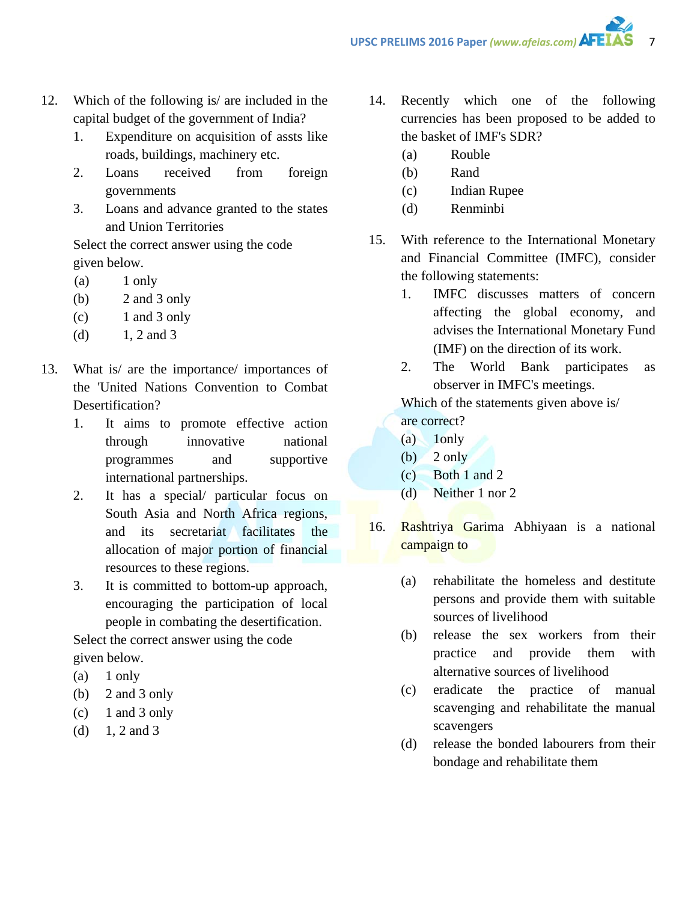- 12. Which of the following is/ are included in the capital budget of the government of India?
	- 1. Expenditure on acquisition of assts like roads, buildings, machinery etc.
	- 2. Loans received from foreign governments
	- 3. Loans and advance granted to the states and Union Territories

Select the correct answer using the code given below.

- (a) 1 only
- (b) 2 and 3 only
- $(c)$  1 and 3 only
- (d)  $1, 2$  and 3
- 13. What is/ are the importance/ importances of the 'United Nations Convention to Combat Desertification?
	- 1. It aims to promote effective action through innovative national programmes and supportive international partnerships.
	- 2. It has a special/ particular focus on South Asia and North Africa regions, and its secretariat facilitates the allocation of major portion of financial resources to these regions.
	- 3. It is committed to bottom-up approach, encouraging the participation of local people in combating the desertification.

Select the correct answer using the code given below.

- (a) 1 only
- (b) 2 and 3 only
- $(c)$  1 and 3 only
- (d)  $1, 2$  and 3
- 14. Recently which one of the following currencies has been proposed to be added to the basket of IMF's SDR?
	- (a) Rouble
	- (b) Rand
	- (c) Indian Rupee
	- (d) Renminbi
- 15. With reference to the International Monetary and Financial Committee (IMFC), consider the following statements:
	- 1. IMFC discusses matters of concern affecting the global economy, and advises the International Monetary Fund (IMF) on the direction of its work.
	- 2. The World Bank participates as observer in IMFC's meetings.

Which of the statements given above is/ are correct?

- (a) 1only
- (b) 2 only
- (c) Both 1 and 2
- (d) Neither 1 nor 2
- 16. Rashtriya Garima Abhiyaan is a national campaign to
	- (a) rehabilitate the homeless and destitute persons and provide them with suitable sources of livelihood
	- (b) release the sex workers from their practice and provide them with alternative sources of livelihood
	- (c) eradicate the practice of manual scavenging and rehabilitate the manual scavengers
	- (d) release the bonded labourers from their bondage and rehabilitate them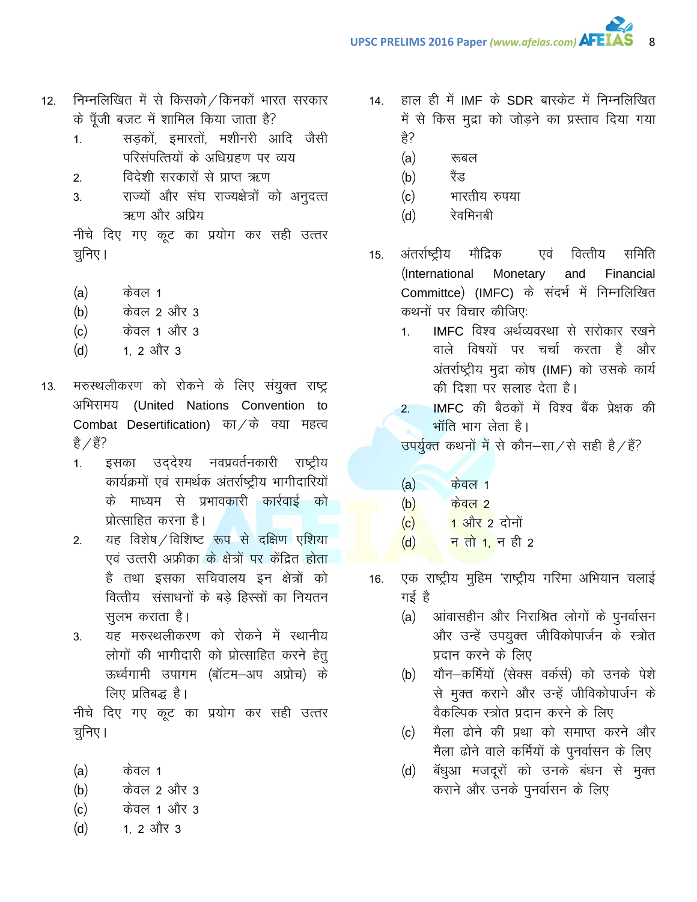- निम्नलिखित में से किसको / किनकों भारत सरकार  $12.$ के पूँजी बजट में शामिल किया जाता है?
	- सडकों, इमारतों, मशीनरी आदि जैसी  $1.$ परिसंपत्तियों के अधिग्रहण पर व्यय
	- विदेशी सरकारों से प्राप्त ऋण  $2.$
	- राज्यों और संघ राज्यक्षेत्रों को अनुदत्त  $3<sub>l</sub>$ ऋण और अप्रिय

नीचे दिए गए कूट का प्रयोग कर सही उत्तर चुनिए।

- $(a)$ केवल 1
- केवल 2 और 3  $(b)$
- केवल 1 और 3  $(c)$
- 1. 2 और 3  $(d)$
- मरुस्थलीकरण को रोकने के लिए संयुक्त राष्ट्र  $13.$ अभिसमय (United Nations Convention to Combat Desertification) का / के क्या महत्व है  $/$  हैं?
	- इसका उद्देश्य नवप्रवर्तनकारी राष्ट्रीय  $1.$ कार्यक्रमों एवं समर्थक अंतर्राष्ट्रीय भागीदारियों के माध्यम से प्रभावकारी कार्रवाई को प्रोत्साहित करना है।
	- यह विशेष / विशिष्ट रूप से दक्षिण एशिया  $2.$ एवं उत्तरी अफ्रीका के क्षेत्रों पर केंद्रित होता है तथा इसका सचिवालय इन क्षेत्रों को वित्तीय संसाधनों के बड़े हिस्सों का नियतन सुलभ कराता है।
	- यह मरुस्थलीकरण को रोकने में स्थानीय  $3.$ लोगों की भागीदारी को प्रोत्साहित करने हेतु ऊर्ध्वगामी उपागम (बॉटम-अप अप्रोच) के लिए प्रतिबद्ध है।

नीचे दिए गए कूट का प्रयोग कर सही उत्तर चुनिए ।

- $(a)$ केवल 1
- केवल 2 और 3  $(b)$
- केवल 1 और 3  $(c)$
- 1. 2 और 3  $(d)$
- हाल ही में IMF के SDR बास्केट में निम्नलिखित  $14.$ में से किस मुद्रा को जोड़ने का प्रस्ताव दिया गया हे?
	- $(a)$ रूबल
	- रैंड  $(b)$
	- भारतीय रुपया  $(c)$
	- रेवमिनबी  $(d)$
- एवं वित्तीय समिति अंतर्राष्ट्रीय मौद्रिक  $15.$ (International Monetary and Financial Committce) (IMFC) के संदर्भ में निम्नलिखित कथनों पर विचार कीजिए:
	- IMFC विश्व अर्थव्यवस्था से सरोकार रखने  $1<sup>1</sup>$ वाले विषयों पर चर्चा करता है और अंतर्राष्ट्रीय मुद्रा कोष (IMF) को उसके कार्य की दिशा पर सलाह देता है।
	- IMFC की बैठकों में विश्व बैंक प्रेक्षक की  $2.$ भाँति भाग लेता है।

उपर्युक्त कथनों में से कौन-सा/से सही है/हैं?

- $(a)$ <u>केवल 1</u>
- $(b)$ <u>केवल २</u>
- <mark>1 और 2</mark> दोनों  $(c)$
- <mark>न तो 1,</mark> न ही 2  $(d)$
- एक राष्ट्रीय मुहिम 'राष्ट्रीय गरिमा अभियान चलाई 16. गई है
	- (a) आंवासहीन और निराश्रित लोगों के पुनर्वासन और उन्हें उपयुक्त जीविकोपार्जन के स्त्रोत प्रदान करने के लिए
	- यौन-कर्मियों (सेक्स वर्कर्स) को उनके पेशे  $(b)$ से मुक्त कराने और उन्हें जीविकोपार्जन के वैकल्पिक स्त्रोत प्रदान करने के लिए
	- मैला ढोने की प्रथा को समाप्त करने और  $(c)$ मैला ढोने वाले कर्मियों के पुनर्वासन के लिए
	- बॅधुआ मजदूरों को उनके बंधन से मुक्त  $(d)$ कराने और उनके पुनर्वासन के लिए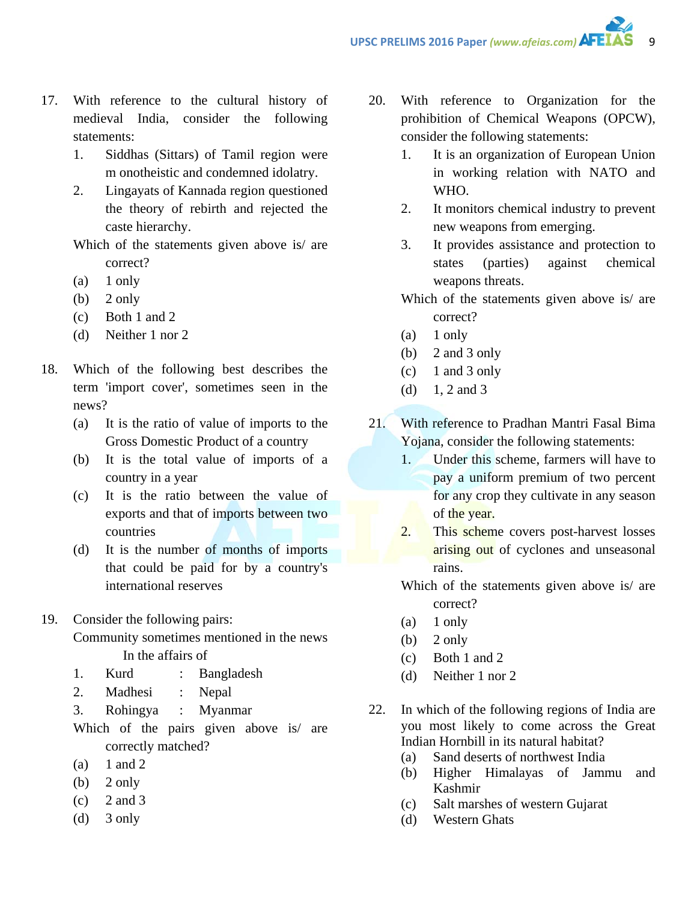- 17. With reference to the cultural history of medieval India, consider the following statements:
	- 1. Siddhas (Sittars) of Tamil region were m onotheistic and condemned idolatry.
	- 2. Lingayats of Kannada region questioned the theory of rebirth and rejected the caste hierarchy.
	- Which of the statements given above is/ are correct?
	- $(a)$  1 only
	- $(b)$  2 only
	- (c) Both 1 and 2
	- (d) Neither 1 nor 2
- 18. Which of the following best describes the term 'import cover', sometimes seen in the news?
	- (a) It is the ratio of value of imports to the Gross Domestic Product of a country
	- (b) It is the total value of imports of a country in a year
	- (c) It is the ratio between the value of exports and that of imports between two countries
	- (d) It is the number of months of imports that could be paid for by a country's international reserves
- 19. Consider the following pairs:

Community sometimes mentioned in the news In the affairs of

- 1. Kurd : Bangladesh
- 2. Madhesi : Nepal
- 3. Rohingya : Myanmar
- Which of the pairs given above is are correctly matched?
- $(a)$  1 and 2
- $(b)$  2 only
- $(c)$  2 and 3
- $(d)$  3 only
- 20. With reference to Organization for the prohibition of Chemical Weapons (OPCW), consider the following statements:
	- 1. It is an organization of European Union in working relation with NATO and WHO.
	- 2. It monitors chemical industry to prevent new weapons from emerging.
	- 3. It provides assistance and protection to states (parties) against chemical weapons threats.
	- Which of the statements given above is/ are correct?
	- (a) 1 only
	- (b) 2 and 3 only
	- $(c)$  1 and 3 only
	- (d) 1, 2 and 3
- 21. With reference to Pradhan Mantri Fasal Bima Yojana, consider the following statements:
	- 1. Under this scheme, farmers will have to pay a uniform premium of two percent for any crop they cultivate in any season of the year.
	- 2. This scheme covers post-harvest losses arising out of cyclones and unseasonal rains.
	- Which of the statements given above is/ are correct?
	- $(a)$  1 only
	- (b)  $2 \text{ only}$
	- (c) Both 1 and 2
	- (d) Neither 1 nor 2
- 22. In which of the following regions of India are you most likely to come across the Great Indian Hornbill in its natural habitat?
	- (a) Sand deserts of northwest India
	- (b) Higher Himalayas of Jammu and Kashmir
	- (c) Salt marshes of western Gujarat
	- (d) Western Ghats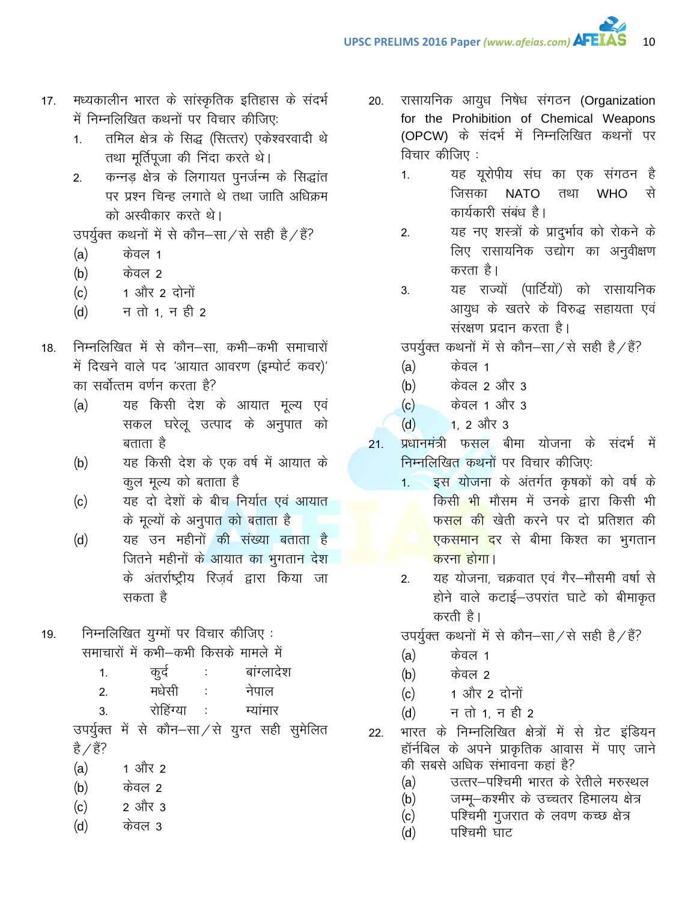- मध्यकालीन भारत के सांस्कृतिक इतिहास के संदर्भ  $17.$ में निम्नलिखित कथनों पर विचार कीजिए:
	- तमिल क्षेत्र के सिद्ध (सित्तर) एकेश्वरवादी थे  $1.$ तथा मूर्तिपूजा की निंदा करते थे।
	- कन्नड़ क्षेत्र के लिगायत पुनर्जन्म के सिद्धांत  $2.$ पर प्रश्न चिन्ह लगाते थे तथा जाति अधिक्रम को अस्वीकार करते थे।

उपर्युक्त कथनों में से कौन–सा⁄से सही है/हैं?

- $(a)$ केवल 1
- केवल २  $(b)$
- 1 और 2 दोनों  $(c)$
- न तो 1. न ही 2  $(d)$
- निम्नलिखित में से कौन–सा. कभी–कभी समाचारों  $18.$ में दिखने वाले पद 'आयात आवरण (इम्पोर्ट कवर)' का सर्वोत्तम वर्णन करता है?
	- यह किसी देश के आयात मूल्य एवं  $(a)$ सकल घरेलू उत्पाद के अनुपात को बताता है
	- यह किसी देश के एक वर्ष में आयात के  $(b)$ कूल मूल्य को बताता है
	- यह दो देशों के बीच निर्यात एवं आयात  $(c)$ के मूल्यों के अनुपात को बताता है
	- यह उन महीनों की संख्या बताता है  $(d)$ जितने महीनों के आयात का भुगतान देश के अंतर्राष्ट्रीय रिज़र्व द्वारा किया जा सकता है
- निम्नलिखित युग्मों पर विचार कीजिए: 19. समाचारों में कभी–कभी किसके मामले में

| ਨਟ    | बाग्लादश |
|-------|----------|
| मधेसी | नपाल     |

रोहिंग्या  $\overline{3}$ म्यांमार

उपर्युक्त में से कौन–सा⁄से युग्त सही सुमेलित है  $/$  हैं?

- $(a)$ 1 और 2
- केवल 2  $(b)$
- 2 और 3  $(c)$
- केवल 3  $(d)$
- रासायनिक आयुध निषेध संगठन (Organization 20. for the Prohibition of Chemical Weapons (OPCW) के संदर्भ में निम्नलिखित कथनों पर विचार कीजिए :
	- यह यूरोपीय संघ का एक संगठन है  $1.$ **NATO** से जिसका तथा **WHO** कार्यकारी संबंध है।

 $10$ 

- यह नए शस्त्रों के प्रादुर्भाव को रोकने के  $2.$ लिए रासायनिक उद्योग का अनुवीक्षण करता है।
- यह राज्यों (पार्टियों) को रासायनिक  $3.$ आयुध के खतरे के विरुद्ध सहायता एवं संरक्षण प्रदान करता है।

उपर्युक्त कथनों में से कौन–सा/से सही है/हैं?

- केवल 1  $(a)$
- केवल 2 और 3  $(b)$
- केवल 1 और 3  $(c)$
- $(d)$  $1, 2, 3$ ौर 3
- प्रधानमंत्री फसल बीमा योजना के संदर्भ में  $21.$ निम्नलिखित कथनों पर विचार कीजिए:
	- इस योजना के अंतर्गत कृषकों को वर्ष के  $1.$ किसी भी मौसम में उनके द्वारा किसी भी फस<mark>ल की </mark>खेती करने पर दो प्रतिशत की <mark>एकसमान द</mark>र से बीमा किश्त का भूगतान करना होगा।
	- यह योजना, चक्रवात एवं गैर-मौसमी वर्षा से  $2<sub>1</sub>$ होने वाले कटाई-उपरांत घाटे को बीमाकृत करती है।

उपर्युक्त कथनों में से कौन-सा/से सही है/हैं?

- केवल 1  $(a)$
- केवल २  $(b)$
- 1 और 2 दोनों  $(c)$
- न तो 1, न ही 2  $(d)$
- भारत के निम्नलिखित क्षेत्रों में से ग्रेट इंडियन 22. हॉर्नबिल के अपने प्राकृतिक आवास में पाए जाने की सबसे अधिक संभावना कहां है?
	- उत्तर-पश्चिमी भारत के रेतीले मरुस्थल  $(a)$
	- जम्मू-कश्मीर के उच्चतर हिमालय क्षेत्र  $(b)$
	- पश्चिमी गुजरात के लवण कच्छ क्षेत्र  $(c)$
	- पश्चिमी घाट  $(d)$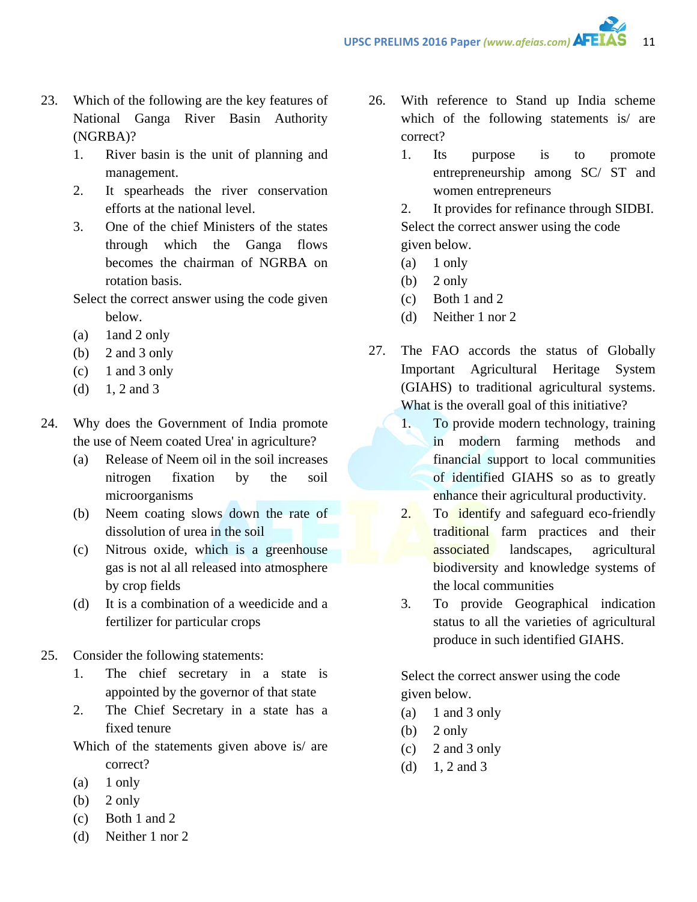- 23. Which of the following are the key features of National Ganga River Basin Authority (NGRBA)?
	- 1. River basin is the unit of planning and management.
	- 2. It spearheads the river conservation efforts at the national level.
	- 3. One of the chief Ministers of the states through which the Ganga flows becomes the chairman of NGRBA on rotation basis.

Select the correct answer using the code given below.

- (a) 1and 2 only
- (b) 2 and 3 only
- $(c)$  1 and 3 only
- (d)  $1, 2$  and 3
- 24. Why does the Government of India promote the use of Neem coated Urea' in agriculture?
	- (a) Release of Neem oil in the soil increases nitrogen fixation by the soil microorganisms
	- (b) Neem coating slows down the rate of dissolution of urea in the soil
	- (c) Nitrous oxide, which is a greenhouse gas is not al all released into atmosphere by crop fields
	- (d) It is a combination of a weedicide and a fertilizer for particular crops
- 25. Consider the following statements:
	- 1. The chief secretary in a state is appointed by the governor of that state
	- 2. The Chief Secretary in a state has a fixed tenure

Which of the statements given above is/ are correct?

- $(a)$  1 only
- (b)  $2 \text{ only}$
- (c) Both 1 and 2
- (d) Neither 1 nor 2
- 26. With reference to Stand up India scheme which of the following statements is/ are correct?
	- 1. Its purpose is to promote entrepreneurship among SC/ ST and women entrepreneurs

2. It provides for refinance through SIDBI. Select the correct answer using the code given below.

- (a) 1 only
- (b)  $2$  only
- (c) Both 1 and 2
- (d) Neither 1 nor 2
- 27. The FAO accords the status of Globally Important Agricultural Heritage System (GIAHS) to traditional agricultural systems. What is the overall goal of this initiative?
	- 1. To provide modern technology, training in modern farming methods and financial support to local communities of identified GIAHS so as to greatly enhance their agricultural productivity.
	- 2. To identify and safeguard eco-friendly traditional farm practices and their associated landscapes, agricultural biodiversity and knowledge systems of the local communities
	- 3. To provide Geographical indication status to all the varieties of agricultural produce in such identified GIAHS.

Select the correct answer using the code given below.

- (a)  $1$  and  $3$  only
- $(b)$  2 only
- (c) 2 and 3 only
- (d)  $1, 2$  and 3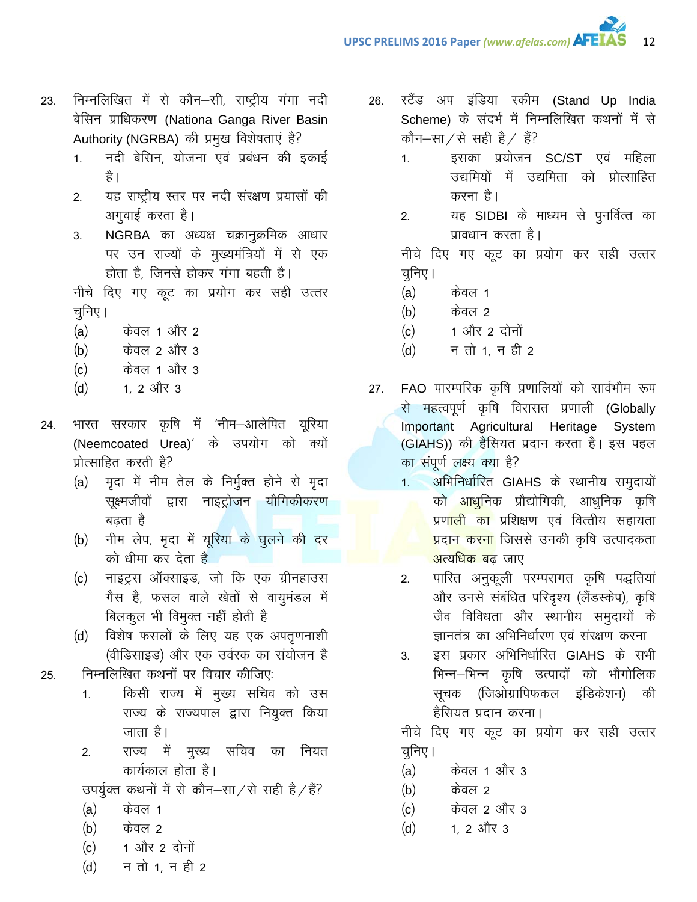- निम्नलिखित में से कौन-सी, राष्ट्रीय गंगा नदी 23. बेसिन प्राधिकरण (Nationa Ganga River Basin Authority (NGRBA) की प्रमुख विशेषताएं है?
	- नदी बेसिन, योजना एवं प्रबंधन की इकाई  $1<sub>1</sub>$ है ।
	- यह राष्ट्रीय स्तर पर नदी संरक्षण प्रयासों की  $2<sub>1</sub>$ अगुवाई करता है।
	- NGRBA का अध्यक्ष चक्रानुक्रमिक आधार 3. पर उन राज्यों के मुख्यमंत्रियों में से एक होता है, जिनसे होकर गंगा बहती है।

नीचे दिए गए कूट का प्रयोग कर सही उत्तर चुनिए।

- $(a)$ केवल 1 और 2
- केवल 2 और 3  $(b)$
- केवल 1 और 3  $(c)$
- $(d)$ 1. 2 और 3
- भारत सरकार कृषि में 'नीम-आलेपित यूरिया 24. (Neemcoated Urea)' के उपयोग को क्यों प्रोत्साहित करती है?
	- (a) मृदा में नीम तेल के निर्मुक्त होने से मृदा सूक्ष्मजीवों द्वारा नाइट्रोजन यौगिकीकरण बढता है
	- (b) नीम लेप, मृदा में यूरिया के घुलने की दर को धीमा कर देता है
	- (c) नाइट्रस ऑक्साइड, जो कि एक ग्रीनहाउस गैस है, फसल वाले खेतों से वायुमंडल में बिलकुल भी विमुक्त नहीं होती है
	- (d) विशेष फसलों के लिए यह एक अपतृणनाशी (वीडिसाइड) और एक उर्वरक का संयोजन है
- निम्नलिखित कथनों पर विचार कीजिए: 25.
	- किसी राज्य में मुख्य सचिव को उस  $1.$ राज्य के राज्यपाल द्वारा नियुक्त किया जाता है।
	- राज्य में मुख्य सचिव का नियत  $2<sub>1</sub>$ कार्यकाल होता है।

उपर्युक्त कथनों में से कौन−सा / से सही है / हैं?

- $(a)$ केवल 1
- $(b)$ केवल 2
- 1 और 2 दोनों  $(c)$
- न तो 1. न ही 2  $(d)$
- स्टैंड अप इंडिया स्कीम (Stand Up India 26. Scheme) के संदर्भ में निम्नलिखित कथनों में से कौन–सा⁄से सही है⁄ हैं?
	- इसका प्रयोजन SC/ST एवं महिला  $1.$ उद्यमियों में उद्यमिता को प्रोत्साहित करना है।
	- यह SIDBI के माध्यम से पुनर्वित्त का  $2.$ प्रावधान करता है।

नीचे दिए गए कूट का प्रयोग कर सही उत्तर चनिए।

- $(a)$ केवल 1
- केवल 2  $(b)$
- 1 और 2 दोनों  $(c)$
- न तो 1. न ही 2  $(d)$
- FAO पारम्परिक कृषि प्रणालियों को सार्वभौम रूप  $27.$ से महत्वपूर्ण कृषि विरासत प्रणाली (Globally Important Agricultural Heritage System (GIAHS)) की हैसियत प्रदान करता है। इस पहल का संपूर्ण लक्ष्य क्या है?
	- अभिनिर्धारित GIAHS के स्थानीय समुदायों  $1.$ को आधुनिक प्रौद्योगिकी, आधुनिक कृषि प्रणाली का प्रशिक्षण एवं वित्तीय सहायता <mark>प्रदान करना</mark> जिससे उनकी कृषि उत्पादकता <mark>अत्यधिक ब</mark>ढ जाए
	- पारित अनुकूली परम्परागत कृषि पद्धतियां  $2<sup>1</sup>$ और उनसे संबंधित परिदृश्य (लैंडस्केप), कृषि जैव विविधता और स्थानीय समुदायों के ज्ञानतंत्र का अभिनिर्धारण एवं संरक्षण करना
	- इस प्रकार अभिनिर्धारित GIAHS के सभी 3. भिन्न-भिन्न कृषि उत्पादों को भौगोलिक सूचक (जिओग्रापिफकल इंडिकेशन) की हैसियत प्रदान करना।

नीचे दिए गए कूट का प्रयोग कर सही उत्तर चुनिए।

- केवल 1 और 3  $(a)$
- केवल 2  $(b)$
- केवल 2 और 3  $(c)$
- 1. 2 और 3  $(d)$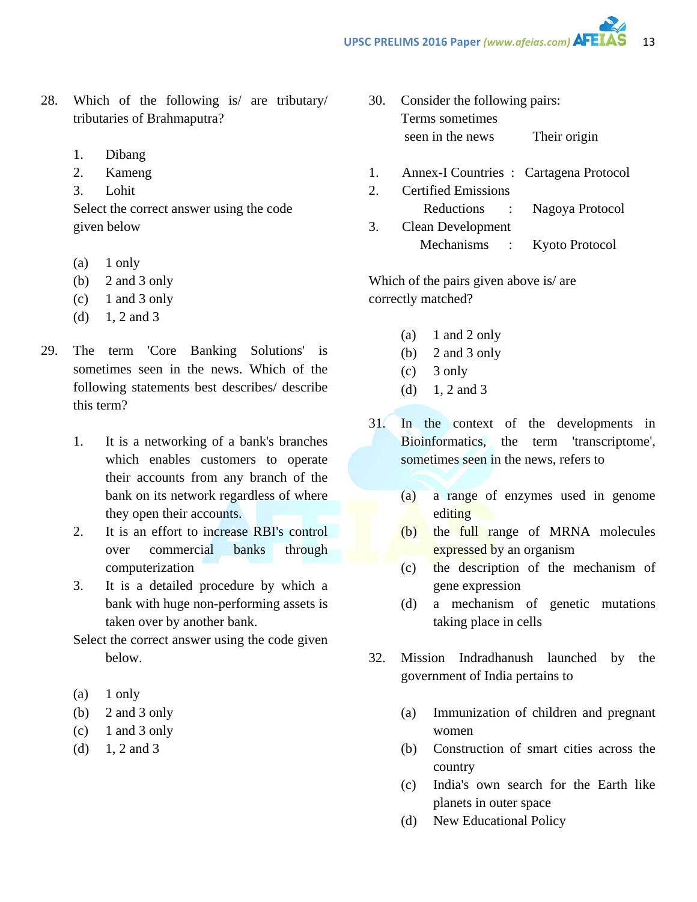- 28. Which of the following is/ are tributary/ tributaries of Brahmaputra?
	- 1. Dibang
	- 2. Kameng
	- 3. Lohit

Select the correct answer using the code given below

- (a) 1 only
- (b) 2 and 3 only
- $(c)$  1 and 3 only
- (d)  $1, 2$  and 3
- 29. The term 'Core Banking Solutions' is sometimes seen in the news. Which of the following statements best describes/ describe this term?
	- 1. It is a networking of a bank's branches which enables customers to operate their accounts from any branch of the bank on its network regardless of where they open their accounts.
	- 2. It is an effort to increase RBI's control over commercial banks through computerization
	- 3. It is a detailed procedure by which a bank with huge non-performing assets is taken over by another bank.
	- Select the correct answer using the code given below.
	- (a) 1 only
	- (b) 2 and 3 only
	- $(c)$  1 and 3 only
	- (d)  $1, 2$  and 3
- 30. Consider the following pairs: Terms sometimes seen in the news Their origin
- 1. Annex-I Countries : Cartagena Protocol
- 2. Certified Emissions Reductions : Nagoya Protocol 3. Clean Development Mechanisms : Kyoto Protocol

Which of the pairs given above is/ are correctly matched?

- (a)  $1$  and  $2$  only
- (b) 2 and 3 only
- $(c)$  3 only
- (d)  $1, 2$  and 3
- 31. In the context of the developments in Bioinformatics, the term 'transcriptome', sometimes seen in the news, refers to
	- (a) a range of enzymes used in genome editing
	- (b) the full range of MRNA molecules expressed by an organism
	- (c) the description of the mechanism of gene expression
	- (d) a mechanism of genetic mutations taking place in cells
- 32. Mission Indradhanush launched by the government of India pertains to
	- (a) Immunization of children and pregnant women
	- (b) Construction of smart cities across the country
	- (c) India's own search for the Earth like planets in outer space
	- (d) New Educational Policy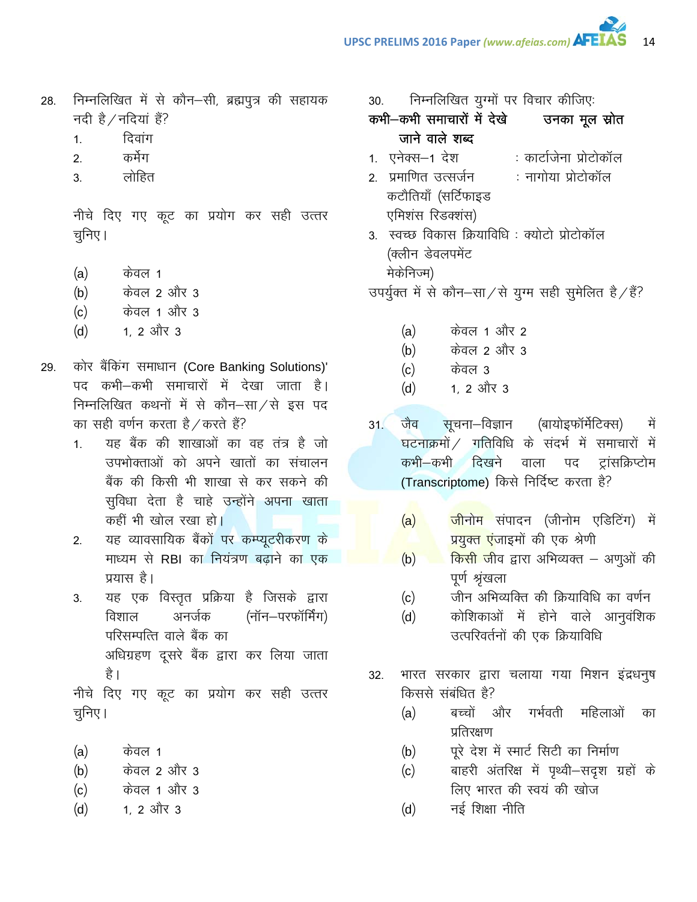- दिवांग  $1.$
- कर्मेग  $2.$
- लोहित  $3.$

नीचे दिए गए कूट का प्रयोग कर सही उत्तर चुनिए।

- $(a)$ केवल 1
- केवल 2 और 3  $(b)$
- केवल 1 और 3  $(c)$
- 1. 2 और 3  $(d)$
- कोर बैंकिंग समाधान (Core Banking Solutions)' 29. पद कभी–कभी समाचारों में देखा जाता है। निम्नलिखित कथनों में से कौन–सा/से इस पद का सही वर्णन करता है / करते हैं?
	- यह बैंक की शाखाओं का वह तंत्र है जो  $1<sup>1</sup>$ उपभोक्ताओं को अपने खातों का संचालन बैंक की किसी भी शाखा से कर सकने की सुविधा देता है चाहे उन्होंने अपना खाता कहीं भी खोल रखा हो।
	- यह व्यावसायिक बैंकों पर कम्प्यूटरीकरण के  $2.$ माध्यम से RBI का नियंत्रण बढ़ाने का एक प्रयास है।
	- यह एक विस्तृत प्रक्रिया है जिसके द्वारा 3. अनर्जक (नॉन–परफॉर्मिंग) विशाल परिसम्पत्ति वाले बैंक का अधिग्रहण दूसरे बैंक द्वारा कर लिया जाता है ।

नीचे दिए गए कूट का प्रयोग कर सही उत्तर चुनिए।

- $(a)$ केवल 1
- केवल 2 और 3  $(b)$
- केवल 1 और 3  $(c)$
- 1. 2 और 3  $(d)$

निम्नलिखित युग्मों पर विचार कीजिए: 30.

उनका मूल स्रोत कभी-कभी समाचारों में देखे जाने वाले शब्द

- 1. एनेक्स–1 देश : कार्टाजेना प्रोटोकॉल
- 2. प्रमाणित उत्सर्जन : नागोया प्रोटोकॉल कटौतियाँ (सर्टिफाइड एमिशंस रिडक्शंस)
- 3. स्वच्छ विकास क्रियाविधि : क्योटो प्रोटोकॉल (क्लीन डेवलपमेंट मेकेनिज्म)

उपर्युक्त में से कौन-सा/से युग्म सही सुमेलित है/हैं?

- केवल 1 और 2  $(a)$
- केवल 2 और 3  $(b)$
- $(c)$ केवल 3
- $(d)$ 1. 2 और 3
- जैव सूचना–विज्ञान (बायोइफॉर्मेटिक्स)  $31($ में घटनाक्रमों / गतिविधि के संदर्भ में समाचारों में कभी—कभी दिखने वाला पद ट्रांसक्रिप्टोम (Transcriptome) किसे निर्दिष्ट करता है?
	- <mark>जी</mark>नोम संपादन (जीनोम एडिटिंग) में  $(a)$ <mark>प्रयुक्त एं</mark>जाइमों की एक श्रेणी
	- किसी जीव द्वारा अभिव्यक्त अणुओं की  $(b)$ पूर्ण श्रृंखला
	- जीन अभिव्यक्ति की क्रियाविधि का वर्णन  $(c)$
	- कोशिकाओं में होने वाले आनुवंशिक  $(d)$ उत्परिवर्तनों की एक क्रियाविधि
- 32. भारत सरकार द्वारा चलाया गया मिशन इंद्रधनुष किससे संबंधित है?
	- और गर्भवती महिलाओं बच्चों  $(a)$ का प्रतिरक्षण
	- पूरे देश में स्मार्ट सिटी का निर्माण  $(b)$
	- बाहरी अंतरिक्ष में पृथ्वी–सदृश ग्रहों के  $(c)$ लिए भारत की स्वयं की खोज
	- नई शिक्षा नीति  $(d)$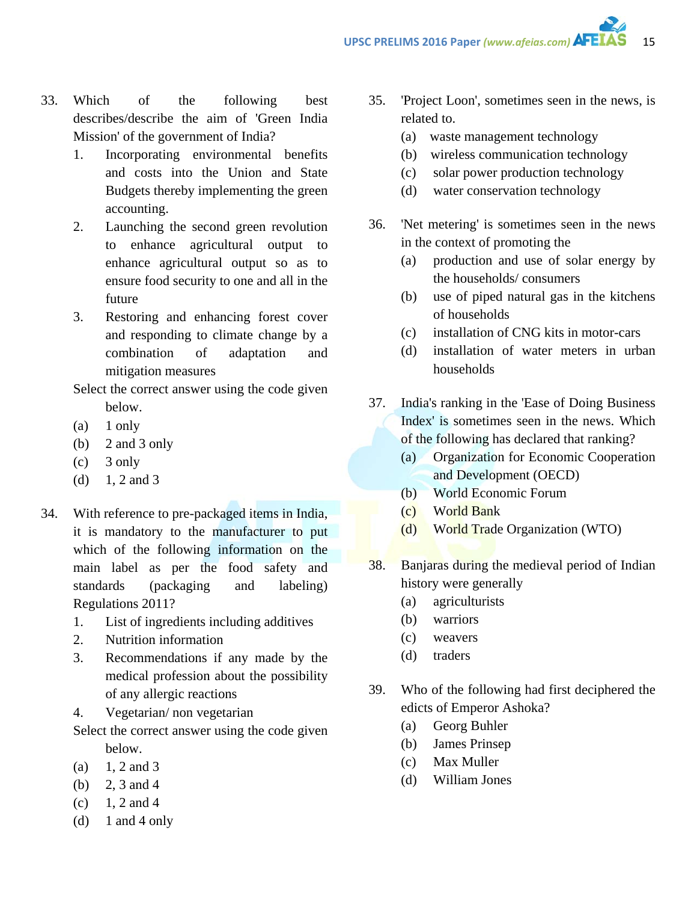- 33. Which of the following best describes/describe the aim of 'Green India Mission' of the government of India?
	- 1. Incorporating environmental benefits and costs into the Union and State Budgets thereby implementing the green accounting.
	- 2. Launching the second green revolution to enhance agricultural output to enhance agricultural output so as to ensure food security to one and all in the future
	- 3. Restoring and enhancing forest cover and responding to climate change by a combination of adaptation and mitigation measures
	- Select the correct answer using the code given below.
	- $(a)$  1 only
	- (b) 2 and 3 only
	- (c) 3 only
	- (d)  $1, 2$  and 3
- 34. With reference to pre-packaged items in India, it is mandatory to the manufacturer to put which of the following information on the main label as per the food safety and standards (packaging and labeling) Regulations 2011?
	- 1. List of ingredients including additives
	- 2. Nutrition information
	- 3. Recommendations if any made by the medical profession about the possibility of any allergic reactions
	- 4. Vegetarian/ non vegetarian
	- Select the correct answer using the code given below.
	- (a)  $1, 2$  and 3
	- (b) 2, 3 and 4
	- $(c)$  1, 2 and 4
	- (d)  $1$  and  $4$  only
- 35. 'Project Loon', sometimes seen in the news, is related to.
	- (a) waste management technology
	- (b) wireless communication technology
	- (c) solar power production technology
	- (d) water conservation technology
- 36. 'Net metering' is sometimes seen in the news in the context of promoting the
	- (a) production and use of solar energy by the households/ consumers
	- (b) use of piped natural gas in the kitchens of households
	- (c) installation of CNG kits in motor-cars
	- (d) installation of water meters in urban households
- 37. India's ranking in the 'Ease of Doing Business Index' is sometimes seen in the news. Which of the following has declared that ranking?
	- (a) Organization for Economic Cooperation and Development (OECD)
	- (b) World Economic Forum
	- (c) World Bank
	- (d) World Trade Organization (WTO)
- 38. Banjaras during the medieval period of Indian history were generally
	- (a) agriculturists
	- (b) warriors
	- (c) weavers
	- (d) traders
- 39. Who of the following had first deciphered the edicts of Emperor Ashoka?
	- (a) Georg Buhler
	- (b) James Prinsep
	- (c) Max Muller
	- (d) William Jones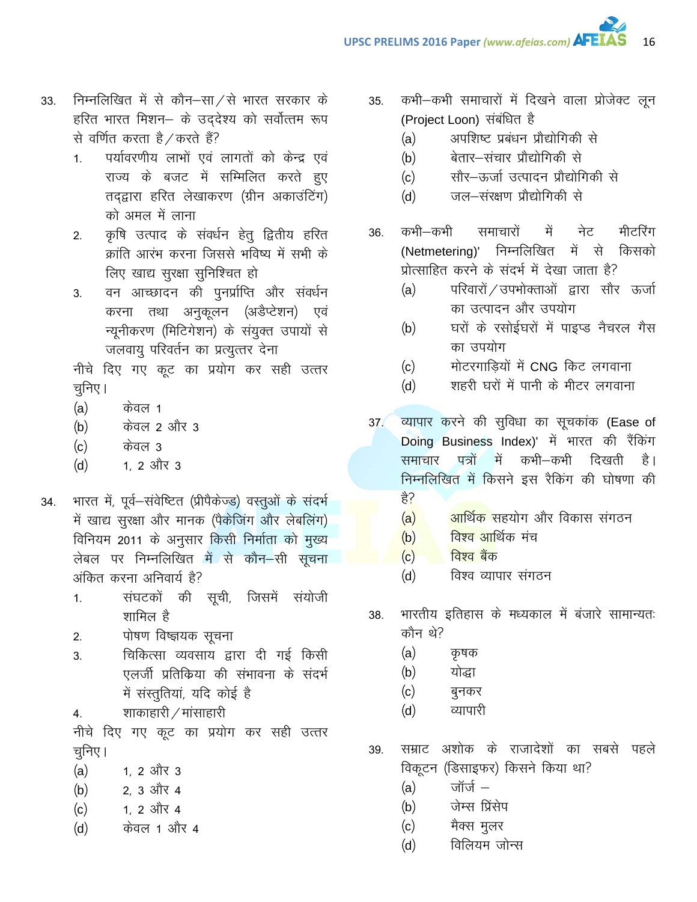- निम्नलिखित में से कौन–सा $\angle$ से भारत सरकार के 33. हरित भारत मिशन– के उददेश्य को सर्वोत्तम रूप से वर्णित करता है ∕ करते हैं?
	- पर्यावरणीय लाभों एवं लागतों को केन्द्र एवं  $1.$ राज्य के बजट में सम्मिलित करते हुए तदद्वारा हरित लेखाकरण (ग्रीन अकाउंटिंग) को अमल में लाना
	- कृषि उत्पाद के संवर्धन हेतू द्वितीय हरित  $2<sub>1</sub>$ क्रांति आरंभ करना जिससे भविष्य में सभी के लिए खाद्य सुरक्षा सुनिश्चित हो
	- वन आच्छादन की पुनर्प्राप्ति और संवर्धन  $3.$ करना तथा अनुकूलन (अडैप्टेशन) एवं न्यूनीकरण (मिटिगेशन) के संयुक्त उपायों से जलवायू परिवर्तन का प्रत्युत्तर देना

नीचे दिए गए कूट का प्रयोग कर सही उत्तर चूनिए।

- केवल 1  $(a)$
- केवल 2 और 3  $(b)$
- केवल 3  $(c)$
- 1. 2 और 3  $(d)$
- भारत में, पूर्व-संवेष्टित (प्रीपैकेज्ड) वस्तुओं के संदर्भ 34. में खाद्य सुरक्षा और मानक (पैकेजिंग और लेबलिंग) विनियम 2011 के अनुसार किसी निर्माता को मुख्य लेबल पर निम्नलिखित में से कौन–सी सूचना अंकित करना अनिवार्य है?
	- संघटकों की सूची, जिसमें संयोजी  $1<sub>1</sub>$ शामिल है
	- पोषण विष्ज्ञयक सूचना  $2.$
	- चिकित्सा व्यवसाय द्वारा दी गई किसी  $3.$ एलर्जी प्रतिक्रिया की संभावना के संदर्भ में संस्तुतियां, यदि कोई है
	- शाकाहारी / मांसाहारी  $4.$

नीचे दिए गए कूट का प्रयोग कर सही उत्तर चूनिए।

- $(a)$ 1, 2 और 3
- 2, 3 और 4  $(b)$
- 1. 2 और 4  $(c)$
- केवल 1 और 4  $(d)$
- कभी-कभी समाचारों में दिखने वाला प्रोजेक्ट लून 35. (Project Loon) संबंधित है
	- अपशिष्ट प्रबंधन प्रौद्योगिकी से  $(a)$
	- बेतार-संचार प्रौद्योगिकी से  $(b)$
	- सौर–ऊर्जा उत्पादन प्रौद्योगिकी से  $(c)$
	- जल—संरक्षण प्रौद्योगिकी से  $(d)$
- कभी—कभी समाचारों में नेट मीटरिंग 36. (Netmetering)' निम्नलिखित में से किसको प्रोत्साहित करने के संदर्भ में देखा जाता है?
	- परिवारों / उपभोक्ताओं द्वारा सौर ऊर्जा  $(a)$ का उत्पादन और उपयोग
	- घरों के रसोईघरों में पाइप्ड नैचरल गैस  $(b)$ का उपयोग
	- मोटरगाडियों में CNG किट लगवाना  $(c)$
	- शहरी घरों में पानी के मीटर लगवाना  $(d)$
- व्यापार करने की सुविधा का सूचकांक (Ease of  $37/$ Doing Business Index)' में भारत की रैंकिंग कभी—कभी ा में दिखती पत्रों है । समाचार निम्नलिखित में किसने इस रैकिंग की घोषणा की है?
	- $(a)$ <mark>आर्थिक </mark>सहयोग और विकास संगठन
	- विश्व आर्थिक मंच  $(b)$
	- विश्व बैंक  $(c)$
	- $(d)$ विश्व व्यापार संगठन
- भारतीय इतिहास के मध्यकाल में बंजारे सामान्यतः 38. कौन थे?
	- $(a)$ कृषक
	- योद्धा  $(b)$
	- $(c)$ बुनकर
	- व्यापारी  $(d)$
- सम्राट अशोक के राजादेशों का सबसे पहले 39. विकूटन (डिसाइफर) किसने किया था?
	- <u> जॉर्ज  $-$ </u>  $(a)$
	- जेम्स प्रिंसेप  $(b)$
	- मैक्स मूलर  $(c)$
	- विलियम जोन्स  $(d)$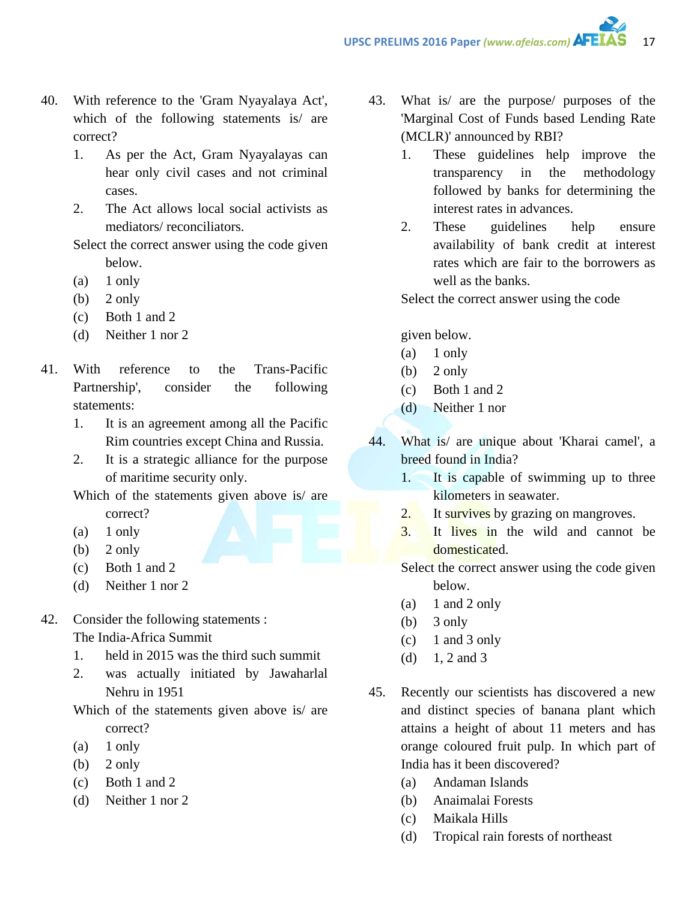- 40. With reference to the 'Gram Nyayalaya Act', which of the following statements is/ are correct?
	- 1. As per the Act, Gram Nyayalayas can hear only civil cases and not criminal cases.
	- 2. The Act allows local social activists as mediators/ reconciliators.

Select the correct answer using the code given below.

- $(a)$  1 only
- $(b)$  2 only
- (c) Both 1 and 2
- (d) Neither 1 nor 2
- 41. With reference to the Trans-Pacific Partnership', consider the following statements:
	- 1. It is an agreement among all the Pacific Rim countries except China and Russia.
	- 2. It is a strategic alliance for the purpose of maritime security only.

Which of the statements given above is/ are correct?

- $(a)$  1 only
- (b)  $2 \text{ only}$
- (c) Both 1 and 2
- (d) Neither 1 nor 2
- 42. Consider the following statements : The India-Africa Summit
	- 1. held in 2015 was the third such summit
	- 2. was actually initiated by Jawaharlal Nehru in 1951

Which of the statements given above is/ are correct?

- $(a)$  1 only
- $(b)$  2 only
- (c) Both 1 and 2
- (d) Neither 1 nor 2
- 43. What is/ are the purpose/ purposes of the 'Marginal Cost of Funds based Lending Rate (MCLR)' announced by RBI?
	- 1. These guidelines help improve the transparency in the methodology followed by banks for determining the interest rates in advances.
	- 2. These guidelines help ensure availability of bank credit at interest rates which are fair to the borrowers as well as the banks.

Select the correct answer using the code

given below.

- $(a)$  1 only
- (b)  $2$  only
- (c) Both 1 and 2
- (d) Neither 1 nor
- 44. What is/ are unique about 'Kharai camel', a breed found in India?
	- 1. It is capable of swimming up to three kilometers in seawater.
	- 2. It survives by grazing on mangroves.
	- 3. It lives in the wild and cannot be domesticated.
	- Select the correct answer using the code given below.
	- (a)  $1$  and  $2$  only
	- $(b)$  3 only
	- $(c)$  1 and 3 only
	- (d)  $1, 2$  and 3
- 45. Recently our scientists has discovered a new and distinct species of banana plant which attains a height of about 11 meters and has orange coloured fruit pulp. In which part of India has it been discovered?
	- (a) Andaman Islands
	- (b) Anaimalai Forests
	- (c) Maikala Hills
	- (d) Tropical rain forests of northeast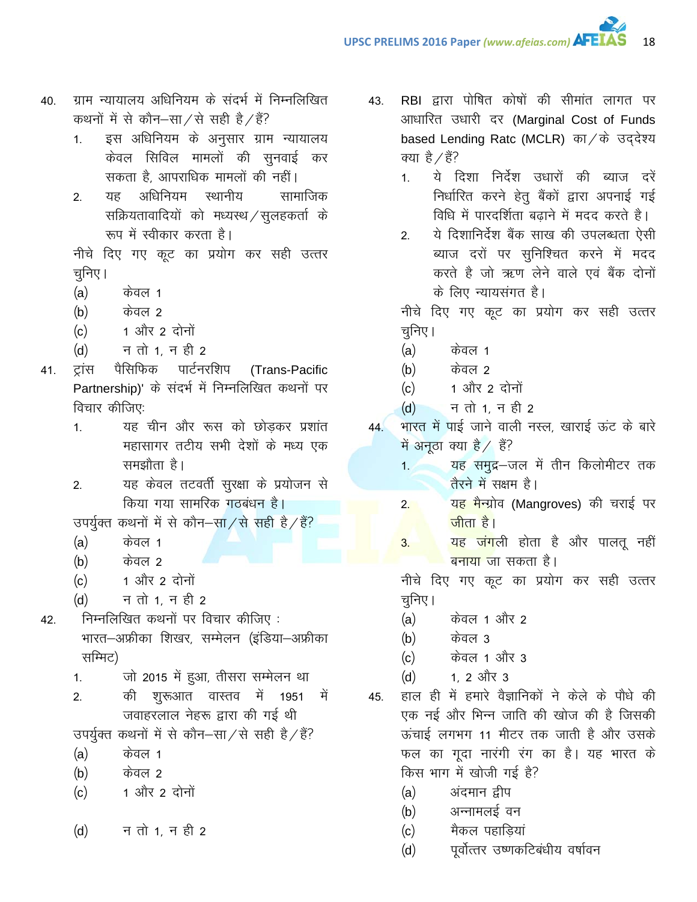- ग्राम न्यायालय अधिनियम के संदर्भ में निम्नलिखित 40. कथनों में से कौन-सा/से सही है/हैं?
	- इस अधिनियम के अनुसार ग्राम न्यायालय  $1.$ केवल सिविल मामलों की सुनवाई कर सकता है. आपराधिक मामलों की नहीं।
	- अधिनियम स्थानीय सामाजिक  $2<sub>1</sub>$ यह सक्रियतावादियों को मध्यस्थ / सुलहकर्ता के रूप में स्वीकार करता है।

नीचे दिए गए कूट का प्रयोग कर सही उत्तर चनिए।

- $(a)$ केवल 1
- केवल २  $(b)$
- 1 और 2 दोनों  $(c)$
- न तो 1, न ही 2  $(d)$
- पार्टनरशिप ट्रांस पैसिफिक (Trans-Pacific  $41.$ Partnership)' के संदर्भ में निम्नलिखित कथनों पर विचार कीजिए:
	- यह चीन और रूस को छोडकर प्रशांत  $1<sub>1</sub>$ महासागर तटीय सभी देशों के मध्य एक समझौता है।
	- यह केवल तटवर्ती सुरक्षा के प्रयोजन से  $2<sub>1</sub>$ किया गया सामरिक गठबंधन है।
	- उपर्युक्त कथनों में से कौन-सा/से सही है/हैं?
	- $(a)$ केवल 1
	- केवल २  $(b)$
	- 1 और 2 दोनों  $(c)$
	- न तो 1, न ही 2  $(d)$
- निम्नलिखित कथनों पर विचार कीजिए : 42. भारत–अफ्रीका शिखर, सम्मेलन (इंडिया–अफ्रीका सम्मिट)
	- जो 2015 में हुआ, तीसरा सम्मेलन था  $1<sub>1</sub>$
	- की शुरूआत वास्तव में 1951  $2.$ में जवाहरलाल नेहरू द्वारा की गई थी
	- उपर्युक्त कथनों में से कौन–सा/से सही है/हैं?
	- $(a)$ केवल 1
	- केवल २  $(b)$
	- 1 और 2 दोनों  $(c)$
	- न तो 1. न ही 2  $(d)$
- RBI द्वारा पोषित कोषों की सीमांत लागत पर 43. आधारित उधारी दर (Marginal Cost of Funds based Lending Ratc (MCLR) का/के उद्देश्य क्या है  $\angle$ हैं?
	- ये दिशा निर्देश उधारों की ब्याज दरें  $1<sup>1</sup>$ निर्धारित करने हेतू बैंकों द्वारा अपनाई गई विधि में पारदर्शिता बढाने में मदद करते है।

18

ये दिशानिर्देश बैंक साख की उपलब्धता ऐसी  $2<sup>1</sup>$ ब्याज दरों पर सुनिश्चित करने में मदद करते है जो ऋण लेने वाले एवं बैंक दोनों के लिए न्यायसंगत है।

नीचे दिए गए कूट का प्रयोग कर सही उत्तर चुनिए।

- $(a)$ केवल 1
- केवल 2  $(b)$
- 1 और 2 दोनों  $(c)$
- न तो 1, न ही 2  $(d)$
- भारत में पाई जाने वाली नस्ल, खाराई ऊंट के बारे  $44$ में अनुठा क्या है / हैं?
	- यह समुद्र–जल में तीन किलोमीटर तक  $1.1$ तैरने में सक्षम है।
	- यह मैन्ग्रोव (Mangroves) की चराई पर  $2.$ <u>जीता है।</u>
	- <mark>यह जंग</mark>ली होता है और पालतू नहीं  $3.$ बनाया जा सकता है।

नीचे दिए गए कूट का प्रयोग कर सही उत्तर चुनिए ।

- $(a)$ केवल 1 और 2
- $(b)$ केवल 3
- केवल 1 और 3  $(c)$
- $(d)$ 1. 2 और 3
- हाल ही में हमारे वैज्ञानिकों ने केले के पौधे की 45. एक नई और भिन्न जाति की खोज की है जिसकी ऊंचाई लगभग 11 मीटर तक जाती है और उसके फल का गूदा नारंगी रंग का है। यह भारत के किस भाग में खोजी गई है?
	- अंदमान द्वीप  $(a)$
	- $(b)$ अन्नामलई वन
	- मैकल पहाडियां  $(c)$
	- पूर्वोत्तर उष्णकटिबंधीय वर्षावन  $(d)$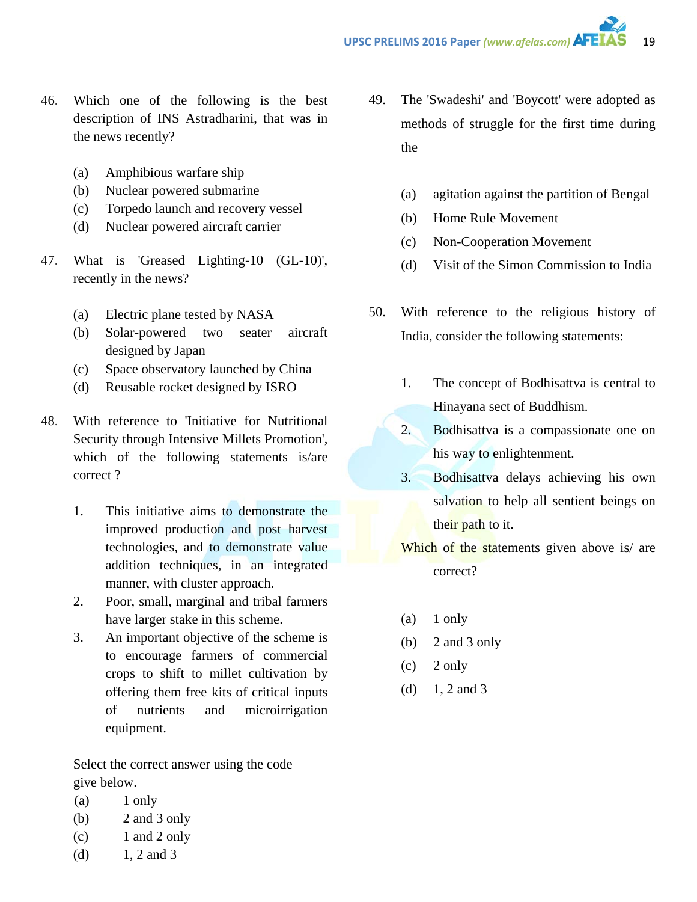- 46. Which one of the following is the best description of INS Astradharini, that was in the news recently?
	- (a) Amphibious warfare ship
	- (b) Nuclear powered submarine
	- (c) Torpedo launch and recovery vessel
	- (d) Nuclear powered aircraft carrier
- 47. What is 'Greased Lighting-10 (GL-10)', recently in the news?
	- (a) Electric plane tested by NASA
	- (b) Solar-powered two seater aircraft designed by Japan
	- (c) Space observatory launched by China
	- (d) Reusable rocket designed by ISRO
- 48. With reference to 'Initiative for Nutritional Security through Intensive Millets Promotion', which of the following statements is/are correct ?
	- 1. This initiative aims to demonstrate the improved production and post harvest technologies, and to demonstrate value addition techniques, in an integrated manner, with cluster approach.
	- 2. Poor, small, marginal and tribal farmers have larger stake in this scheme.
	- 3. An important objective of the scheme is to encourage farmers of commercial crops to shift to millet cultivation by offering them free kits of critical inputs of nutrients and microirrigation equipment.

Select the correct answer using the code give below.

- $(a)$  1 only
- (b) 2 and 3 only
- (c) 1 and 2 only
- (d)  $1, 2$  and 3
- 49. The 'Swadeshi' and 'Boycott' were adopted as methods of struggle for the first time during the
	- (a) agitation against the partition of Bengal
	- (b) Home Rule Movement
	- (c) Non-Cooperation Movement
	- (d) Visit of the Simon Commission to India
- 50. With reference to the religious history of India, consider the following statements:
	- 1. The concept of Bodhisattva is central to Hinayana sect of Buddhism.
	- 2. Bodhisattva is a compassionate one on his way to enlightenment.
	- 3. Bodhisattva delays achieving his own salvation to help all sentient beings on their path to it.
	- Which of the statements given above is/ are correct?
	- (a) 1 only
	- (b) 2 and 3 only
	- $(c)$  2 only
	- (d)  $1, 2$  and 3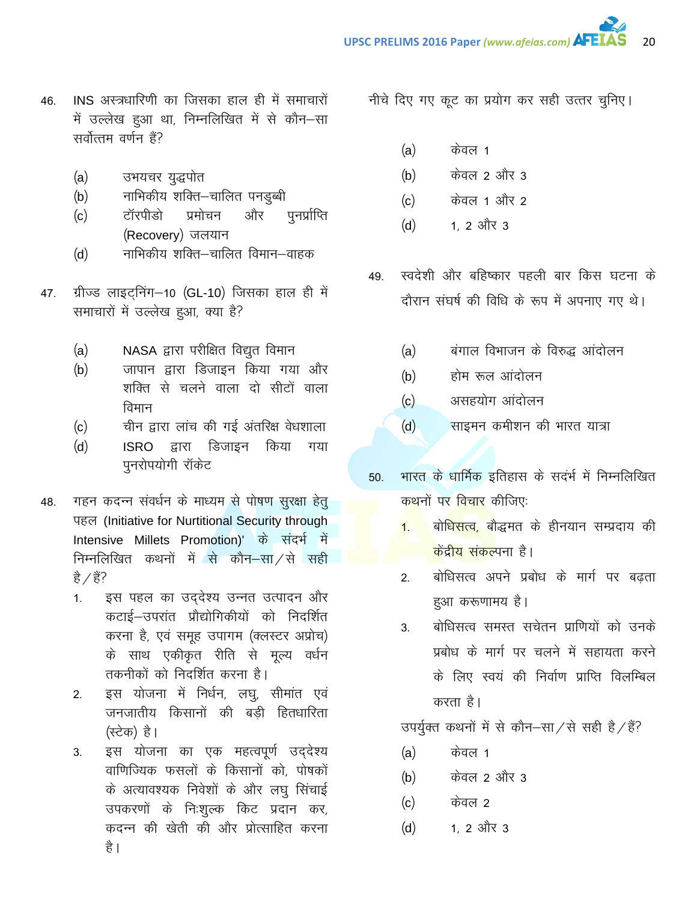- 46. INS अस्त्रधारिणी का जिसका हाल ही में समाचारों में उल्लेख हुआ था, निम्नलिखित में से कौन-सा सर्वोत्तम वर्णन हैं?
	- (a) उभयचर युद्धपोत
	- (b) नाभिकीय शक्ति–चालित पनडुब्बी
	- (c) टॉरपीडो प्रमोचन और पुनर्प्राप्ति (Recovery) जलयान
	- (d) नाभिकीय शक्ति–चालित विमान–वाहक
- 47. ग्रीज्ड लाइट्निंग-10 (GL-10) जिसका हाल ही में समाचारों में उल्लेख हुआ, क्या है?
	- (a) NASA द्वारा परीक्षित विद्युत विमान
	- (b) जापान द्वारा डिजाइन किया गया और शक्ति से चलने वाला दो सीटों वाला विमान
	- $(c)$  alter हारा लांच की गई अंतरिक्ष वेधशाला
	- (d) ISRO द्वारा डिजाइन किया गया पुनरोपयोगी रॉकेट
- 48. महन कदन्न संवर्धन के माध्यम से पोषण सुरक्षा हेतु पहल (Initiative for Nurtitional Security through Intensive Millets Promotion)' के संदर्भ में निम्नलिखित कथनों में से कौन $-\frac{1}{\sqrt{2}}$ सही है $\angle$ हैं?
	- 1. इस पहल का उद्देश्य उन्नत उत्पादन और कटाई–उपरांत प्रौद्योगिकीयों को निदर्शित करना है, एवं समूह उपागम (क्लस्टर अप्रोच) के साथ एकीकृत रीति से मूल्य वर्धन तकनीकों को निदर्शित करना है।
	- 2. इस योजना में निर्धन, लघु, सीमांत एवं जनजातीय किसानों की बड़ी हितधारिता (स्टेक) है।
	- 3. इस योजना का एक महत्वपूर्ण उददेश्य वाणिज्यिक फसलों के किसानों को, पोषकों के अत्यावश्यक निवेशों के और लघू सिंचाई उपकरणों के निःशुल्क किट प्रदान कर, कदन्न की खेती की और प्रोत्साहित करना है ।

नीचे दिए गए कूट का प्रयोग कर सही उत्तर चुनिए।

- (a) केवल 1
- (b) केवल 2 और 3
- (c) केवल 1 और 2
- $(d)$  1, 2 और 3
- 49. स्वदेशी और बहिष्कार पहली बार किस घटना के दौरान संघर्ष की विधि के रूप में अपनाए गए थे।
	- (a) बंगाल विभाजन के विरुद्ध आंदोलन
	- (b) होम रूल आंदोलन
	- (c) असहयोग आंदोलन
	- (d) साइमन कमीशन की भारत यात्रा
- 50. भारत के धार्मिक इतिहास के सदर्भ में निम्नलिखित कथनों पर <mark>विचार</mark> कीजिए:
	- <mark>1. बोधिसत्व, बौद्धमत के हीनयान सम्प्रदाय की</mark> <mark>केंदीय संकल्</mark>पना है।
	- 2. बोधिसत्व अपने प्रबोध के मार्ग पर बढता हुआ करूणामय है।
	- 3. बोधिसत्व समस्त सचेतन प्राणियों को उनके प्रबोध के मार्ग पर चलने में सहायता करने के लिए स्वयं की निर्वाण प्राप्ति विलम्बिल करता है।

उपर्युक्त कथनों में से कौन-सा $\overline{Z}$ से सही है $\overline{Z}$ हैं?

- (a) केवल 1
- (b) केवल 2 और 3
- (c) केवल 2
- $(d)$  1, 2 और 3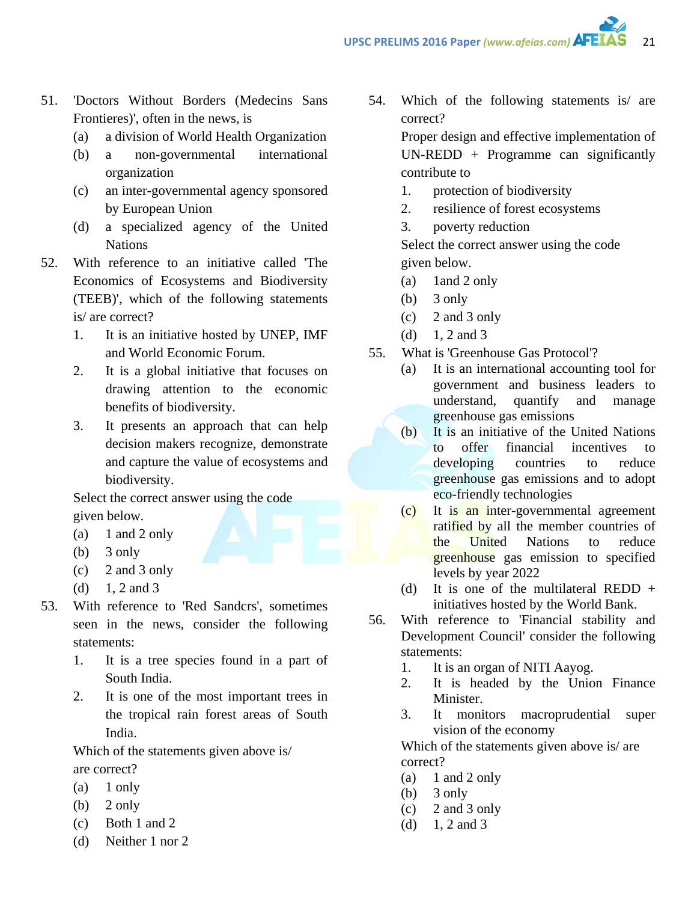- 51. 'Doctors Without Borders (Medecins Sans Frontieres)', often in the news, is
	- (a) a division of World Health Organization
	- (b) a non-governmental international organization
	- (c) an inter-governmental agency sponsored by European Union
	- (d) a specialized agency of the United Nations
- 52. With reference to an initiative called 'The Economics of Ecosystems and Biodiversity (TEEB)', which of the following statements is/ are correct?
	- 1. It is an initiative hosted by UNEP, IMF and World Economic Forum.
	- 2. It is a global initiative that focuses on drawing attention to the economic benefits of biodiversity.
	- 3. It presents an approach that can help decision makers recognize, demonstrate and capture the value of ecosystems and biodiversity.

Select the correct answer using the code given below.

- (a)  $1$  and  $2$  only
- (b)  $3$  only
- (c) 2 and 3 only
- (d)  $1, 2$  and 3
- 53. With reference to 'Red Sandcrs', sometimes seen in the news, consider the following statements:
	- 1. It is a tree species found in a part of South India.
	- 2. It is one of the most important trees in the tropical rain forest areas of South India.

Which of the statements given above is/ are correct?

- $(a)$  1 only
- (b)  $2 \text{ only}$
- (c) Both 1 and 2
- (d) Neither 1 nor 2

54. Which of the following statements is/ are correct?

> Proper design and effective implementation of  $UN-REDD + Programme can significantly$ contribute to

- 1. protection of biodiversity
- 2. resilience of forest ecosystems
- 3. poverty reduction

Select the correct answer using the code given below.

- (a) 1and 2 only
- $(b)$  3 only
- (c) 2 and 3 only
- (d)  $1, 2$  and 3
- 55. What is 'Greenhouse Gas Protocol'?
	- (a) It is an international accounting tool for government and business leaders to understand, quantify and manage greenhouse gas emissions
	- (b) It is an initiative of the United Nations to offer financial incentives to developing countries to reduce greenhouse gas emissions and to adopt eco-friendly technologies
	- (c) It is an inter-governmental agreement ratified by all the member countries of the United Nations to reduce greenhouse gas emission to specified levels by year 2022
	- (d) It is one of the multilateral REDD  $+$ initiatives hosted by the World Bank.
- 56. With reference to 'Financial stability and Development Council' consider the following statements:
	- 1. It is an organ of NITI Aayog.
	- 2. It is headed by the Union Finance Minister.
	- 3. It monitors macroprudential super vision of the economy

Which of the statements given above is/ are correct?

- (a)  $1$  and  $2$  only
- (b)  $3$  only
- (c) 2 and 3 only
- (d)  $1, 2$  and 3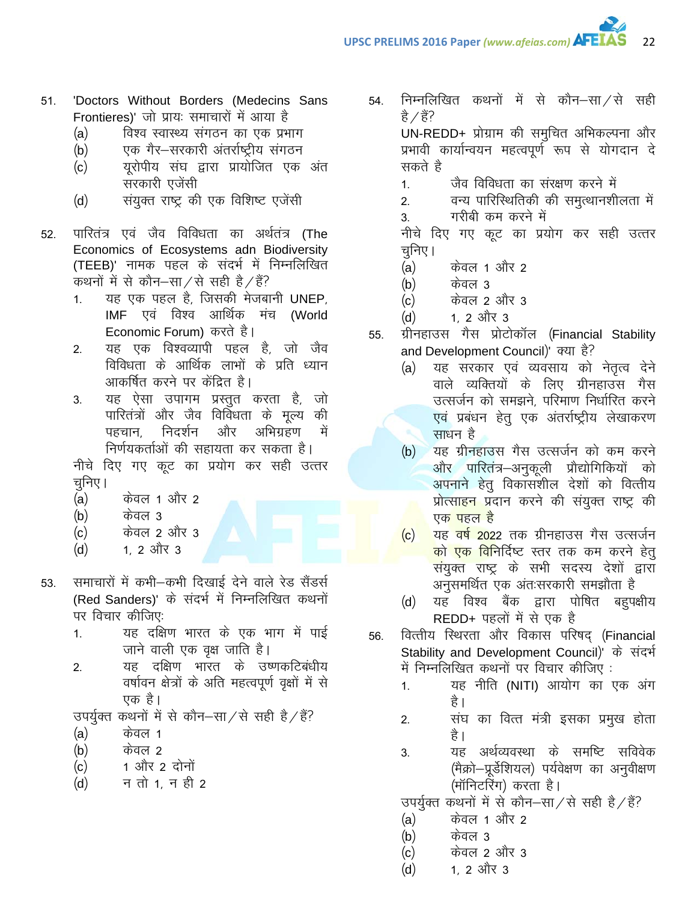- 'Doctors Without Borders (Medecins Sans  $51.$ Frontieres)' जो प्रायः समाचारों में आया है
	- $(a)$ विश्व स्वास्थ्य संगठन का एक प्रभाग
	- $(b)$ एक गैर–सरकारी अंतर्राष्ट्रीय संगठन
	- $(c)$ यूरोपीय संघ द्वारा प्रायोजित एक अंत सरकारी एजेंसी
	- $(d)$ संयुक्त राष्ट्र की एक विशिष्ट एजेंसी
- पारितंत्र एवं जैव विविधता का अर्थतंत्र (The 52. Economics of Ecosystems adn Biodiversity (TEEB)' नामक पहल के संदर्भ में निम्नलिखित कथनों में से कौन–सा⁄से सही है/हैं?
	- यह एक पहल है, जिसकी मेजबानी UNEP,  $1<sub>1</sub>$ IMF एवं विश्व आर्थिक मंच (World Economic Forum) करते है।
	- यह एक विश्वव्यापी पहल है, जो जैव  $2.$ विविधता के आर्थिक लाभों के प्रति ध्यान आकर्षित करने पर केंद्रित है।
	- यह ऐसा उपागम प्रस्तुत करता है, जो  $3.$ पारितंत्रों और जैव विविधता के मुल्य की पहचान, निदर्शन और अभिग्रहण में निर्णयकर्ताओं की सहायता कर सकता है।

नीचे दिए गए कूट का प्रयोग कर सही उत्तर चुनिए ।

- केवल 1 और 2  $(a)$
- केवल ३  $(b)$
- $(c)$ केवल 2 और 3
- $(d)$ 1, 2 और 3
- समाचारों में कभी-कभी दिखाई देने वाले रेड सैंडर्स 53. (Red Sanders)' के संदर्भ में निम्नलिखित कथनों पर विचार कीजिए:
	- यह दक्षिण भारत के एक भाग में पाई  $1.$ जाने वाली एक वृक्ष जाति है।
	- यह दक्षिण भारत के उष्णकटिबंधीय  $2.$ वर्षावन क्षेत्रों के अति महत्वपूर्ण वृक्षों में से एक है।

उपर्युक्त कथनों में से कौन-सा/से सही है/हैं?

- $(a)$ केवल 1
- केवल 2  $(b)$
- 1 और 2 दोनों  $(c)$
- न तो 1, न ही 2  $(d)$

निम्नलिखित कथनों में से कौन—सा⁄से सही 54. है ∕ हैं?

> UN-REDD+ प्रोग्राम की समुचित अभिकल्पना और प्रभावी कार्यान्वयन महत्वपूर्ण रूप से योगदान दे सकते है

22

- जैव विविधता का संरक्षण करने में  $1<sub>1</sub>$
- वन्य पारिस्थितिकी की समुत्थानशीलता में  $2.$
- गरीबी कम करने में 3.

नीचे दिए गए कूट का प्रयोग कर सही उत्तर चनिए ।

- केवल 1 और 2  $(a)$
- केवल ३  $(b)$
- केवल 2 और 3  $(c)$
- <u>1. 2 और 3</u>  $(d)$
- ग्रीनहाउस गैस प्रोटोकॉल (Financial Stability 55. and Development Council)' क्या है?
	- यह सरकार एवं व्यवसाय को नेतृत्व देने  $(a)$ वाले व्यक्तियों के लिए ग्रीनहाउस गैस उत्सर्जन को समझने, परिमाण निर्धारित करने एवं प्रबंधन हेतु एक अंतर्राष्ट्रीय लेखाकरण साधन है
	- यह ग्रीनहाउस गैस उत्सर्जन को कम करने  $(b)$ और पारितंत्र–अनुकूली प्रौद्योगिकियों को अपनाने हेतू विकासशील देशों को वित्तीय प्रोत्साहन प्रदान करने की संयुक्त राष्ट्र की एक<mark> पहल है</mark>
	- <mark>यह वर्ष 2022 तक ग्रीनहाउस गैस उत्सर्जन</mark>  $(c)$ <mark>को एक वि</mark>निर्दिष्ट स्तर तक कम करने हेत् संयुक्त राष्ट्र के सभी सदस्य देशों द्वारा अनुसमर्थित एक अंतःसरकारी समझौता है
	- यह विश्व बैंक द्वारा पोषित बहुपक्षीय  $(d)$ REDD+ पहलों में से एक है
- वित्तीय स्थिरता और विकास परिषद (Financial 56. Stability and Development Council)' के संदर्भ में निम्नलिखित कथनों पर विचार कीजिए:
	- यह नीति (NITI) आयोग का एक अंग  $1<sup>1</sup>$ है ।
	- संघ का वित्त मंत्री इसका प्रमुख होता  $2.$ है ।
	- यह अर्थव्यवस्था के समष्टि सविवेक  $3<sub>l</sub>$ (मैक्रो–प्रूर्डेशियल) पर्यवेक्षण का अनुवीक्षण (मॉनिटरिंग) करता है।

उपर्युक्त कथनों में से कौन–सा⁄से सही है/हैं?

- केवल 1 और 2  $(a)$
- $(b)$ केवल ३
- केवल 2 और 3  $(c)$
- 1. 2 और 3  $(d)$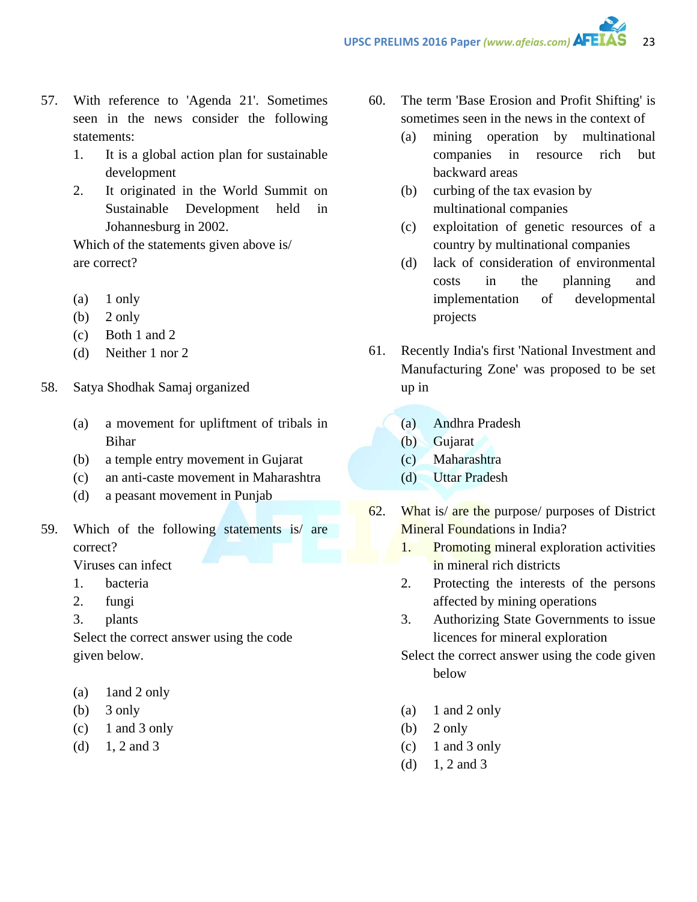- 57. With reference to 'Agenda 21'. Sometimes seen in the news consider the following statements:
	- 1. It is a global action plan for sustainable development
	- 2. It originated in the World Summit on Sustainable Development held in Johannesburg in 2002.

Which of the statements given above is/ are correct?

- (a) 1 only
- $(b)$  2 only
- (c) Both 1 and 2
- (d) Neither 1 nor 2
- 58. Satya Shodhak Samaj organized
	- (a) a movement for upliftment of tribals in Bihar
	- (b) a temple entry movement in Gujarat
	- (c) an anti-caste movement in Maharashtra
	- (d) a peasant movement in Punjab
- 59. Which of the following statements is/ are correct?

Viruses can infect

- 1. bacteria
- 2. fungi
- 3. plants

Select the correct answer using the code given below.

- (a) 1and 2 only
- $(b)$  3 only
- $(c)$  1 and 3 only
- (d)  $1, 2$  and 3
- 60. The term 'Base Erosion and Profit Shifting' is sometimes seen in the news in the context of
	- (a) mining operation by multinational companies in resource rich but backward areas
	- (b) curbing of the tax evasion by multinational companies
	- (c) exploitation of genetic resources of a country by multinational companies
	- (d) lack of consideration of environmental costs in the planning and implementation of developmental projects
- 61. Recently India's first 'National Investment and Manufacturing Zone' was proposed to be set up in
	- (a) Andhra Pradesh
	- (b) Gujarat
	- (c) Maharashtra
	- (d) Uttar Pradesh
- 62. What is/ are the purpose/ purposes of District Mineral Foundations in India?
	- 1. Promoting mineral exploration activities in mineral rich districts
	- 2. Protecting the interests of the persons affected by mining operations
	- 3. Authorizing State Governments to issue licences for mineral exploration

Select the correct answer using the code given below

- (a)  $1$  and  $2$  only
- $(b)$  2 only
- $(c)$  1 and 3 only
- (d)  $1, 2$  and 3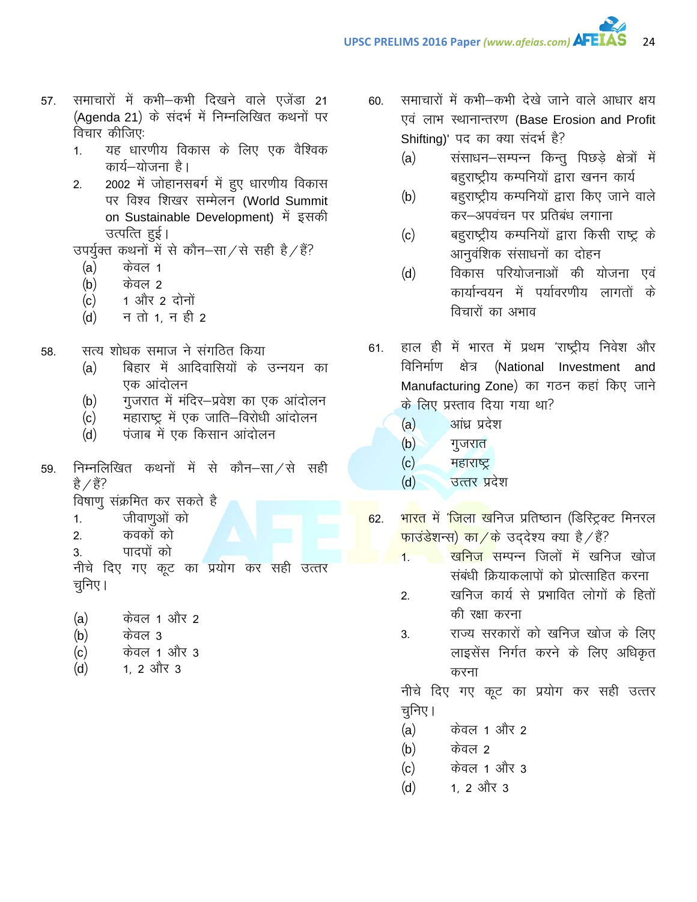- 57. समाचारों में कभी–कभी दिखने वाले एजेंडा 21 (Agenda 21) के संदर्भ में निम्नलिखित कथनों पर विचार कीजिए:
	- 1. यह धारणीय विकास के लिए एक वैश्विक कार्य–योजना है।
	- 2. 2002 में जोहानसबर्ग में हुए धारणीय विकास पर विश्व शिखर सम्मेलन (World Summit on Sustainable Development) में इसकी उत्पत्ति हुई।
	- उपर्युक्त कथनों में से कौन–सा $/$ से सही है $/$ हैं?
		- $(a)$  केवल 1
		- $(b)$  केवल 2
		- $(c)$  1 और 2 दोनों
		- $(d)$  न तो 1. न ही 2
- 58. सत्य शोधक समाज ने संगठित किया
	- (a) बिहार में आदिवासियों के उन्नयन का एक आंदोलन
	- (b) गुजरात में मंदिर—प्रवेश का एक आंदोलन
	- (c) महाराष्ट्र में एक जाति–विरोधी आंदोलन
	- (d) पंजाब में एक किसान आंदोलन
- 59. निम्नलिखित कथनों में से कौन–सा $/$ से सही है $\angle$ हैं?
	- विषाणू संक्रमित कर सकते है
	- 1. जीवाणुओं को
	- 2. कवकों को
	- 3. पादपों को

नीचे दिए गए कूट का प्रयोग कर सही उत्तर चनिए।

- (a) केवल 1 और 2
- (b) केवल 3
- (c) केवल 1 और 3
- $(d)$  1, 2 और 3
- 60. समाचारों में कभी–कभी देखे जाने वाले आधार क्षय एवं लाभ स्थानान्तरण (Base Erosion and Profit Shifting)' पद का क्या संदर्भ है?
	- (a) संसाधन-सम्पन्न किन्तु पिछडे क्षेत्रों में बहुराष्ट्रीय कम्पनियों द्वारा खनन कार्य
	- (b) वहराष्ट्रीय कम्पनियों द्वारा किए जाने वाले कर–अपवंचन पर प्रतिबंध लगाना
	- (c) वहराष्ट्रीय कम्पनियों द्वारा किसी राष्ट्र के आनुवंशिक संसाधनों का दोहन
	- (d) विकास परियोजनाओं की योजना एवं कार्यान्वयन में पर्यावरणीय लागतों के विचारों का अभाव
- 61. हाल ही में भारत में प्रथम 'राष्ट्रीय निवेश और विनिर्माण क्षेत्र (National Investment and Manufacturing Zone) का गठन कहां किए जाने के लिए प्रस्ताव दिया गया था?
	- $(a)$  अांध्र प्रदेश
	- $(b)$  गुजरात
	- $(c)$  महाराष्ट्र
	- (d) उत्तर प्रदेश
- 62. भारत में '<mark>जिला ख</mark>निज प्रतिष्ठान (डिस्ट्रि*क्ट* मिनरल <mark>फाउंडे</mark>शन्स) का ⁄के उददेश्य क्या है ⁄ हैं?
	- <mark>1. खनिज</mark> सम्पन्न जिलों में खनिज खोज संबंधी क्रियाकलापों को प्रोत्साहित करना
		- 2. खनिज कार्य से प्रभावित लोगों के हितों की रक्षा करना
		- 3. राज्य सरकारों को खनिज खोज के लिए लाइसेंस निर्गत करने के लिए अधिकृत करना

नीचे दिए गए कूट का प्रयोग कर सही उत्तर चूनिए।

- (a) केवल 1 और 2
- (b) केवल 2
- (c) केवल 1 और 3
- $(d)$  1, 2 और 3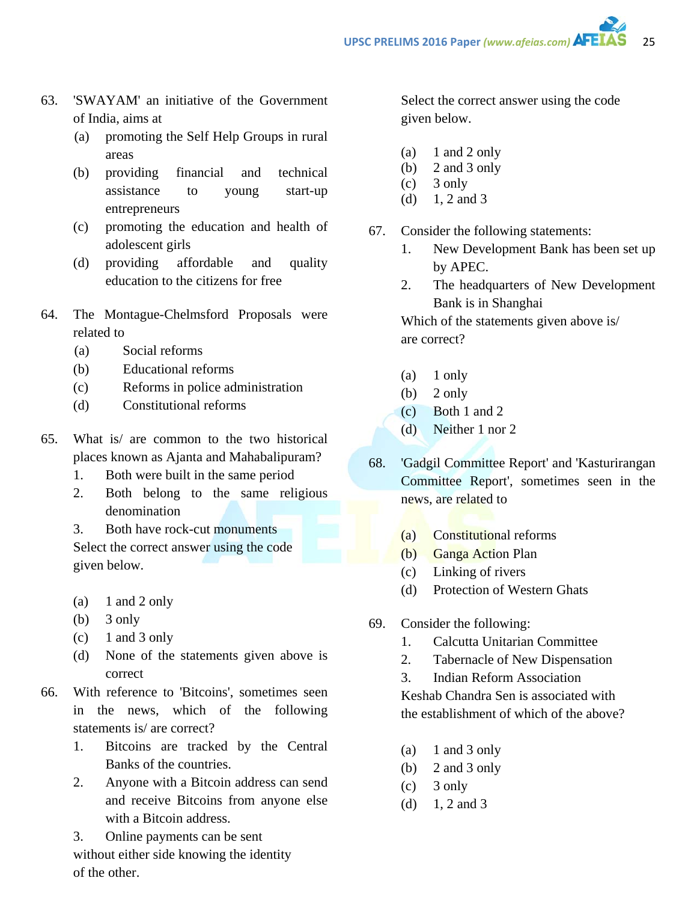- 63. 'SWAYAM' an initiative of the Government of India, aims at
	- (a) promoting the Self Help Groups in rural areas
	- (b) providing financial and technical assistance to young start-up entrepreneurs
	- (c) promoting the education and health of adolescent girls
	- (d) providing affordable and quality education to the citizens for free
- 64. The Montague-Chelmsford Proposals were related to
	- (a) Social reforms
	- (b) Educational reforms
	- (c) Reforms in police administration
	- (d) Constitutional reforms
- 65. What is/ are common to the two historical places known as Ajanta and Mahabalipuram?
	- 1. Both were built in the same period
	- 2. Both belong to the same religious denomination
	- 3. Both have rock-cut monuments Select the correct answer using the code given below.
	- (a)  $1$  and  $2$  only
	- (b) 3 only
	- $(c)$  1 and 3 only
	- (d) None of the statements given above is correct
- 66. With reference to 'Bitcoins', sometimes seen in the news, which of the following statements is/ are correct?
	- 1. Bitcoins are tracked by the Central Banks of the countries.
	- 2. Anyone with a Bitcoin address can send and receive Bitcoins from anyone else with a Bitcoin address.
	- 3. Online payments can be sent without either side knowing the identity of the other.

Select the correct answer using the code given below.

- $(a)$  1 and 2 only
- (b) 2 and 3 only
- $(c)$  3 only
- (d)  $1, 2$  and 3
- 67. Consider the following statements:
	- 1. New Development Bank has been set up by APEC.
	- 2. The headquarters of New Development Bank is in Shanghai

Which of the statements given above is/ are correct?

- (a) 1 only
- $(b)$  2 only
- (c) Both 1 and 2
- (d) Neither 1 nor 2
- 68. 'Gadgil Committee Report' and 'Kasturirangan Committee Report', sometimes seen in the news, are related to
	- (a) Constitutional reforms
	- (b) Ganga Action Plan
	- (c) Linking of rivers
	- (d) Protection of Western Ghats
- 69. Consider the following:
	- 1. Calcutta Unitarian Committee
	- 2. Tabernacle of New Dispensation
	- 3. Indian Reform Association

Keshab Chandra Sen is associated with the establishment of which of the above?

- (a)  $1$  and  $3$  only
- (b) 2 and 3 only
- $(c)$  3 only
- (d)  $1, 2$  and 3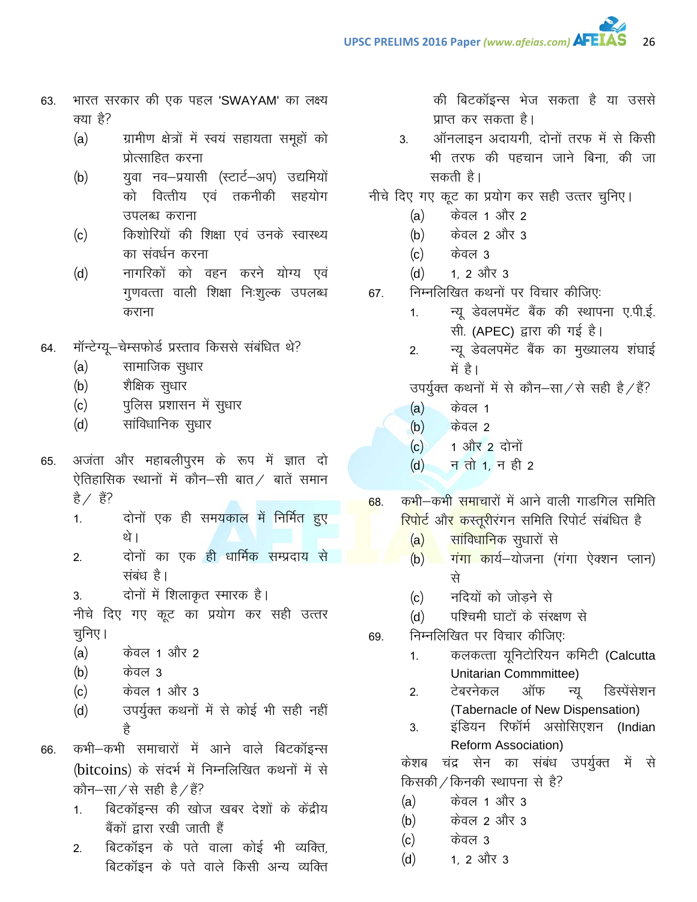- भारत सरकार की एक पहल 'SWAYAM' का लक्ष्य 63. क्या है?
	- ग्रामीण क्षेत्रों में स्वयं सहायता समूहों को  $(a)$ प्रोत्साहित करना
	- युवा नव-प्रयासी (स्टार्ट-अप) उद्यमियों  $(b)$ को वित्तीय एवं तकनीकी सहयोग उपलब्ध कराना
	- किशोरियों की शिक्षा एवं उनके स्वास्थ्य  $(c)$ का संवर्धन करना
	- नागरिकों को वहन करने योग्य एवं  $(d)$ गुणवत्ता वाली शिक्षा निःशुल्क उपलब्ध कराना
- मॉन्टेग्यू-चेम्सफोर्ड प्रस्ताव किससे संबंधित थे? 64.
	- सामाजिक सुधार  $(a)$
	- $(b)$ शैक्षिक सुधार
	- पुलिस प्रशासन में सुधार  $(c)$
	- सांविधानिक सूधार  $(d)$
- अजंता और महाबलीपुरम के रूप में ज्ञात दो 65. ऐतिहासिक स्थानों में कौन–सी बात ⁄ बातें समान है ∕हैं?
	- दोनों एक ही समयकाल में निर्मित हुए  $1<sub>1</sub>$ थे ।
	- दोनों का एक ही धार्मिक सम्प्रदाय से  $2.$ संबंध है।
	- दोनों में शिलाकृत स्मारक है। 3.

नीचे दिए गए कूट का प्रयोग कर सही उत्तर चनिए।

- केवल 1 और 2  $(a)$
- $(b)$ केवल 3
- केवल 1 और 3  $(c)$
- उपर्युक्त कथनों में से कोई भी सही नहीं  $(d)$ है
- कभी-कभी समाचारों में आने वाले बिटकॉइन्स 66. (bitcoins) के संदर्भ में निम्नलिखित कथनों में से कौन–सा⁄से सही है/हैं?
	- बिटकॉइन्स की खोज खबर देशों के केंद्रीय  $1.$ बैंकों द्वारा रखी जाती हैं
	- बिटकॉइन के पते वाला कोई भी व्यक्ति.  $2<sub>1</sub>$ बिटकॉइन के पते वाले किसी अन्य व्यक्ति

की बिटकॉइन्स भेज सकता है या उससे प्राप्त कर सकता है।

- ऑनलाइन अदायगी, दोनों तरफ में से किसी 3. भी तरफ की पहचान जाने बिना, की जा सकती है।
- नीचे दिए गए कूट का प्रयोग कर सही उत्तर चुनिए।
	- केवल 1 और 2  $(a)$
	- केवल 2 और 3  $(b)$
	- $(c)$ केवल ३
	- 1. 2 और 3  $(d)$
- निम्नलिखित कथनों पर विचार कीजिए: 67.
	- न्यू डेवलपमेंट बैंक की स्थापना ए.पी.ई.  $1<sub>1</sub>$ सी. (APEC) द्वारा की गई है।
	- न्यू डेवलपमेंट बैंक का मुख्यालय शंघाई  $2.$ में है।
	- उपर्युक्त कथनों में से कौन−सा / से सही है / हैं?
	- $(a)$ केवल 1
	- केवल 2  $(b)$
	- $(c)$ 1 और 2 दोनों
	- <u>न तो 1.</u> न ही 2  $(d)$
- कभी–कभी समाचारों में आने वाली गाडगिल समिति 68. <mark>रिपो</mark>र्ट औ<mark>र कस्तुरी</mark>रंगन समिति रिपोर्ट संबंधित है
	- सांविधानिक सुधारों से  $(a)$
	- (b) गंगा कार्य–योजना (गंगा ऐक्शन प्लान) से
	- नदियों को जोडने से  $(c)$
	- पश्चिमी घाटों के संरक्षण से  $(d)$
- निम्नलिखित पर विचार कीजिए: 69.
	- कलकत्ता यूनिटोरियन कमिटी (Calcutta  $1.$ Unitarian Commmittee)
	- टेबरनेकल ऑफ न्यू  $2.$ डिस्पेंसेशन (Tabernacle of New Dispensation)
	- इंडियन रिफॉर्म असोसिएशन (Indian 3. Reform Association)

केशब चंद्र सेन का संबंध उपर्युक्त में से किसकी / किनकी स्थापना से है?

- केवल 1 और 3  $(a)$
- $(b)$ केवल 2 और 3
- $(c)$ केवल 3
- $(d)$ 1, 2 और 3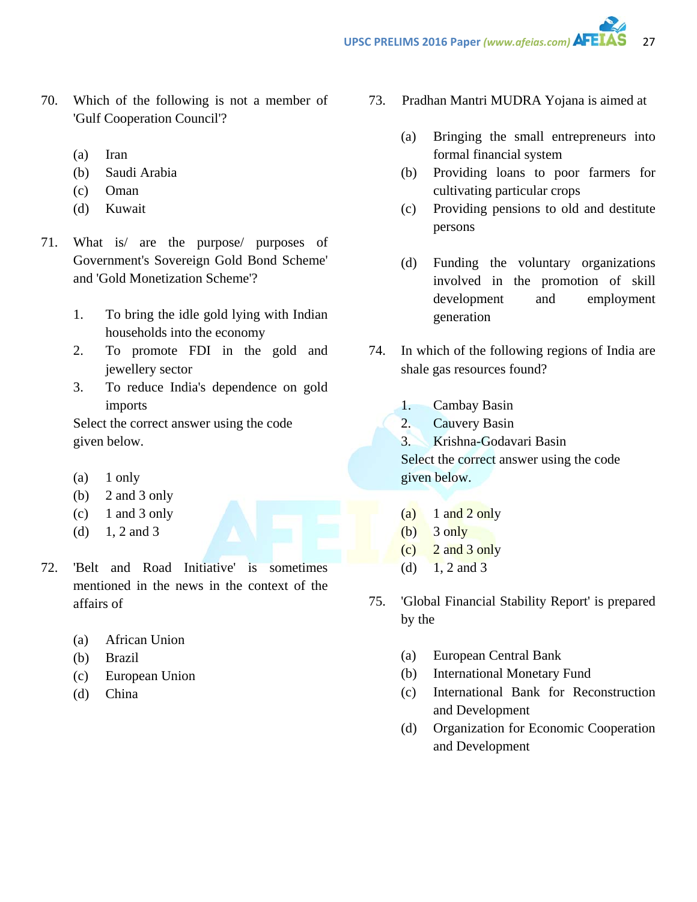- 70. Which of the following is not a member of 'Gulf Cooperation Council'?
	- (a) Iran
	- (b) Saudi Arabia
	- (c) Oman
	- (d) Kuwait
- 71. What is/ are the purpose/ purposes of Government's Sovereign Gold Bond Scheme' and 'Gold Monetization Scheme'?
	- 1. To bring the idle gold lying with Indian households into the economy
	- 2. To promote FDI in the gold and jewellery sector
	- 3. To reduce India's dependence on gold imports

Select the correct answer using the code given below.

- $(a)$  1 only
- (b) 2 and 3 only
- $(c)$  1 and 3 only
- (d)  $1, 2$  and 3
- 72. 'Belt and Road Initiative' is sometimes mentioned in the news in the context of the affairs of
	- (a) African Union
	- (b) Brazil
	- (c) European Union
	- (d) China
- 73. Pradhan Mantri MUDRA Yojana is aimed at
	- (a) Bringing the small entrepreneurs into formal financial system
	- (b) Providing loans to poor farmers for cultivating particular crops
	- (c) Providing pensions to old and destitute persons
	- (d) Funding the voluntary organizations involved in the promotion of skill development and employment generation
- 74. In which of the following regions of India are shale gas resources found?
	- 1. Cambay Basin
	- 2. Cauvery Basin
	- 3. Krishna-Godavari Basin

Select the correct answer using the code given below.

- $(a)$  1 and 2 only
- $(b)$  3 only
- (c) 2 and 3 only
- (d)  $1, 2$  and 3
- 75. 'Global Financial Stability Report' is prepared by the
	- (a) European Central Bank
	- (b) International Monetary Fund
	- (c) International Bank for Reconstruction and Development
	- (d) Organization for Economic Cooperation and Development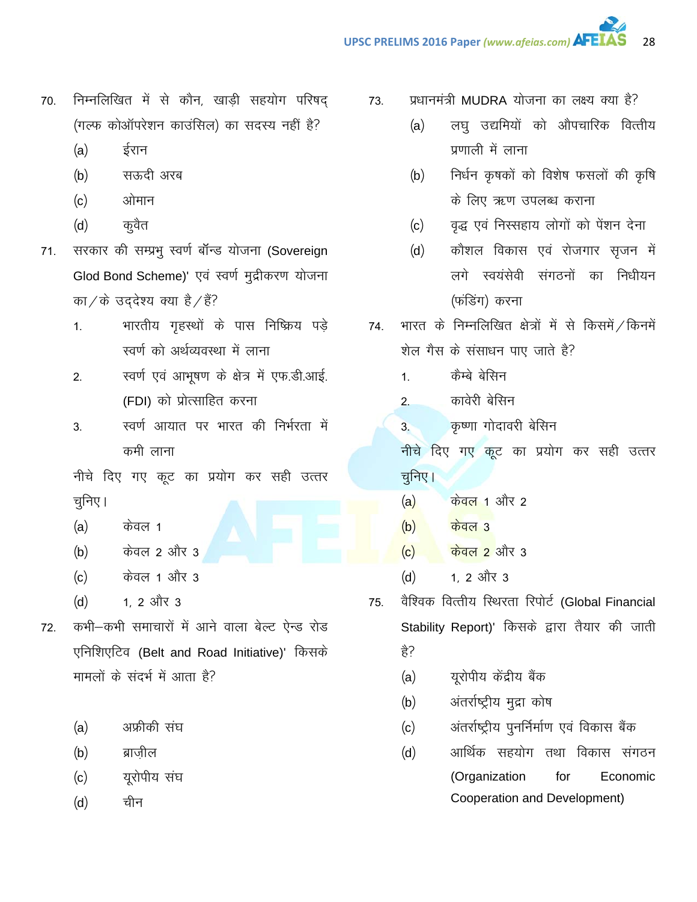- निम्नलिखित में से कौन, खाड़ी सहयोग परिषद् 70. (गल्फ कोऑपरेशन काउंसिल) का सदस्य नहीं है?
	- ईरान  $(a)$
	- सऊदी अरब  $(b)$
	- $(c)$ ओमान
	- $(d)$ कूवैत
- सरकार की सम्प्रभू स्वर्ण बॉन्ड योजना (Sovereign  $71.$ Glod Bond Scheme)' एवं स्वर्ण मुद्रीकरण योजना का / के उद्देश्य क्या है / हैं?
	- भारतीय गृहस्थों के पास निष्क्रिय पडे  $1<sub>1</sub>$ स्वर्ण को अर्थव्यवस्था में लाना
	- स्वर्ण एवं आभूषण के क्षेत्र में एफ.डी.आई.  $2.$ (FDI) को प्रोत्साहित करना
	- स्वर्ण आयात पर भारत की निर्भरता में 3. कमी लाना

नीचे दिए गए कूट का प्रयोग कर सही उत्तर चुनिए ।

- $(a)$ केवल 1
- केवल 2 और 3  $(b)$
- $(c)$ केवल 1 और 3
- 1. 2 और 3  $(d)$
- कभी-कभी समाचारों में आने वाला बेल्ट ऐन्ड रोड 72. एनिशिएटिव (Belt and Road Initiative)' किसके मामलों के संदर्भ में आता है?
	- $(a)$ अफ्रीकी संघ
	- ब्राजील  $(b)$
	- यूरोपीय संघ  $(c)$
	- चीन  $(d)$
- प्रधानमंत्री MUDRA योजना का लक्ष्य क्या है? 73.
	- लघु उद्यमियों को औपचारिक वित्तीय  $(a)$ प्रणाली में लाना
	- निर्धन कृषकों को विशेष फसलों की कृषि  $(b)$ के लिए ऋण उपलब्ध कराना
	- वृद्ध एवं निस्सहाय लोगों को पेंशन देना  $(c)$
	- कौशल विकास एवं रोजगार सृजन में  $(d)$ लगे स्वयंसेवी संगठनों का निधीयन (फंडिंग) करना
- 74. भारत के निम्नलिखित क्षेत्रों में से किसमें / किनमें शेल गैस के संसाधन पाए जाते है?
	- कैम्बे बेसिन  $1<sup>1</sup>$
	- कावेरी बेसिन  $2<sub>1</sub>$
	- कृष्णा गोदावरी बेसिन  $3<sub>1</sub>$

नीचे दिए गए कूट का प्रयोग कर सही उत्तर चुनिए।

- $(a)$ <u>केवल 1</u> और 2
- $(b)$ <u>केवल 3</u>
- $\frac{1}{2}$ केवल 2 और 3  $(c)$
- 1. 2 और 3  $(d)$
- वैश्विक वित्तीय स्थिरता रिपोर्ट (Global Financial 75. Stability Report)' किसके द्वारा तैयार की जाती हे?
	- युरोपीय केंद्रीय बैंक  $(a)$
	- अंतर्राष्ट्रीय मुद्रा कोष  $(b)$
	- अंतर्राष्ट्रीय पुनर्निर्माण एवं विकास बैंक  $(c)$
	- आर्थिक सहयोग तथा विकास संगठन  $(d)$ (Organization Economic for Cooperation and Development)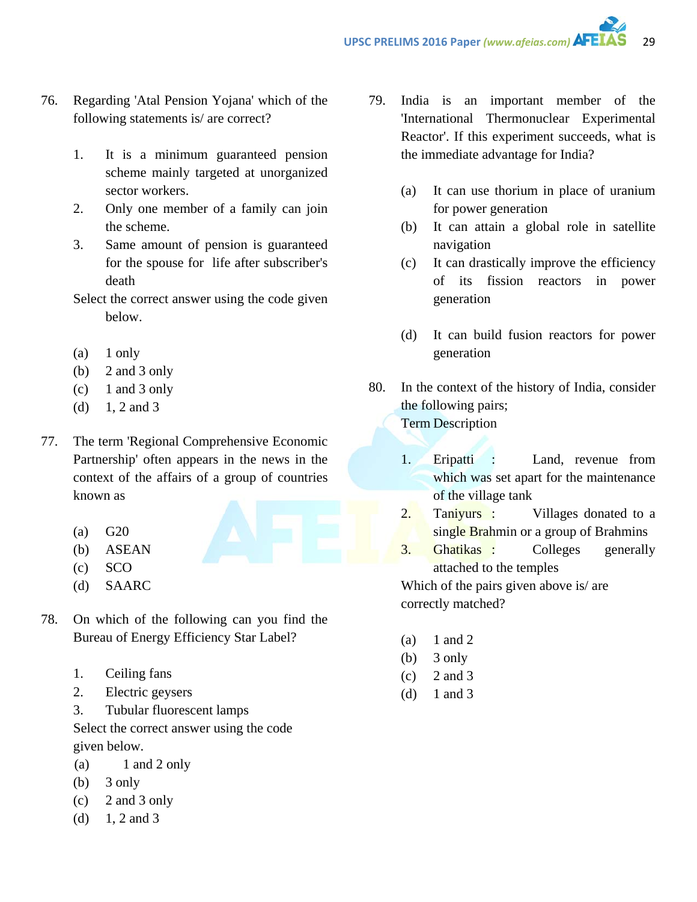- 76. Regarding 'Atal Pension Yojana' which of the following statements is/ are correct?
	- 1. It is a minimum guaranteed pension scheme mainly targeted at unorganized sector workers.
	- 2. Only one member of a family can join the scheme.
	- 3. Same amount of pension is guaranteed for the spouse for life after subscriber's death
	- Select the correct answer using the code given below.
	- (a) 1 only
	- (b) 2 and 3 only
	- $(c)$  1 and 3 only
	- (d)  $1, 2$  and 3
- 77. The term 'Regional Comprehensive Economic Partnership' often appears in the news in the context of the affairs of a group of countries known as
	- (a) G20
	- (b) ASEAN
	- (c) SCO
	- (d) SAARC
- 78. On which of the following can you find the Bureau of Energy Efficiency Star Label?
	- 1. Ceiling fans
	- 2. Electric geysers
	- 3. Tubular fluorescent lamps

Select the correct answer using the code given below.

- (a)  $1$  and  $2$  only
- (b) 3 only
- (c) 2 and 3 only
- (d)  $1, 2$  and 3
- 79. India is an important member of the 'International Thermonuclear Experimental Reactor'. If this experiment succeeds, what is the immediate advantage for India?
	- (a) It can use thorium in place of uranium for power generation
	- (b) It can attain a global role in satellite navigation
	- (c) It can drastically improve the efficiency of its fission reactors in power generation
	- (d) It can build fusion reactors for power generation
- 80. In the context of the history of India, consider the following pairs; Term Description
	- 1. Eripatti : Land, revenue from which was set apart for the maintenance of the village tank
	- 2. Taniyurs : Villages donated to a single Brahmin or a group of Brahmins
	- 3. Ghatikas : Colleges generally attached to the temples Which of the pairs given above is/ are

correctly matched?

- $(a)$  1 and 2
- (b)  $3$  only
- $(c)$  2 and 3
- (d) 1 and 3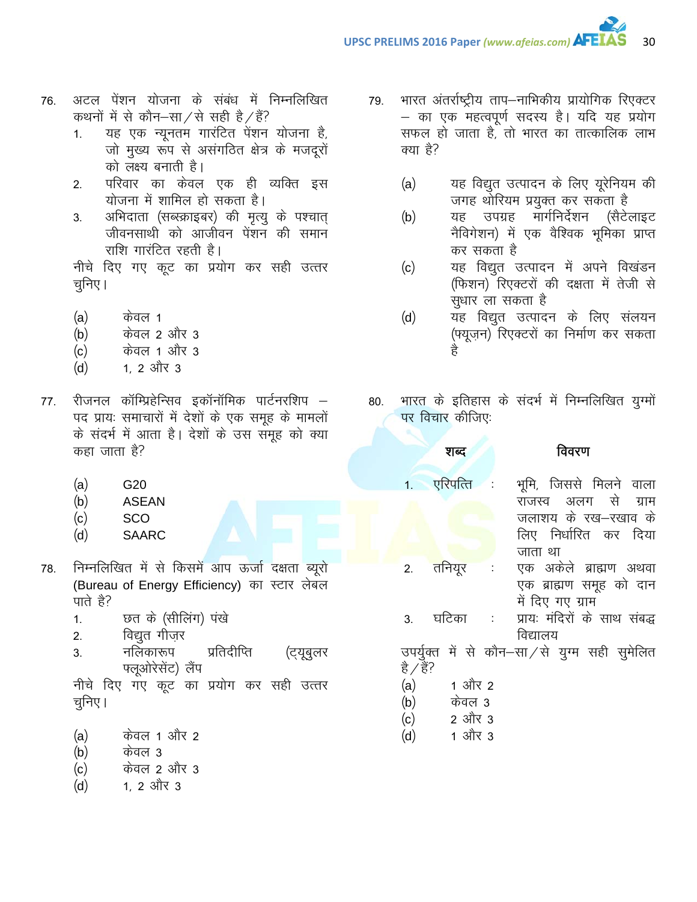- अटल पेंशन योजना के संबंध में निम्नलिखित 76. कथनों में से कौन–सा/से सही है/हैं?
	- यह एक न्यूनतम गारंटित पेंशन योजना है,  $1.$ जो मुख्य रूप से असंगठित क्षेत्र के मजदूरों को लक्ष्य बनाती है।
	- परिवार का केवल एक ही व्यक्ति इस  $2.$ योजना में शामिल हो सकता है।
	- अभिदाता (सब्स्क्राइबर) की मृत्यु के पश्चात् 3. जीवनसाथी को आजीवन पेंशन की समान राशि गारंटित रहती है।

नीचे दिए गए कूट का प्रयोग कर सही उत्तर चनिए।

- $(a)$ केवल 1
- $(b)$ केवल 2 और 3
- $(c)$ केवल 1 और 3
- 1. 2 और 3  $(d)$
- रीजनल कॉम्प्रिहेन्सिव इकॉनॉमिक पार्टनरशिप 77. पद प्रायः समाचारों में देशों के एक समूह के मामलों के संदर्भ में आता है। देशों के उस समुह को क्या कहा जाता है?
	- $(a)$ G20
	- $(b)$ **ASEAN**
	- $(c)$ **SCO**
	- $(d)$ **SAARC**
- निम्नलिखित में से किसमें आप ऊर्जा दक्षता ब्यूरो 78. (Bureau of Energy Efficiency) का स्टार लेबल पाते है?
	- छत के (सीलिंग) पंखे  $1.$
	- विद्युत गीजर  $2.$
	- नलिकारूप प्रतिदीप्ति  $3.$ (ट्यूबुलर फ्लूओरेसेंट) लैंप

नीचे दिए गए कूट का प्रयोग कर सही उत्तर चुनिए।

- $(a)$ केवल 1 और 2
- केवल 3  $(b)$
- $(c)$ केवल 2 और 3
- 1. 2 और 3  $(d)$
- भारत अंतर्राष्ट्रीय ताप—नाभिकीय प्रायोगिक रिएक्टर 79. – का एक महत्वपूर्ण सदस्य है। यदि यह प्रयोग सफल हो जाता है. तो भारत का तात्कालिक लाभ क्या है?
	- $(a)$ यह विद्युत उत्पादन के लिए यूरेनियम की जगह थोरियम प्रयुक्त कर सकता है
	- यह उपग्रह मार्गनिर्देशन (सैटेलाइट  $(b)$ नैविगेशन) में एक वैश्विक भूमिका प्राप्त कर सकता है
	- यह विद्युत उत्पादन में अपने विखंडन  $(c)$ (फिशन) रिएक्टरों की दक्षता में तेजी से सूधार ला सकता है
	- यह विद्युत उत्पादन के लिए संलयन  $(d)$ (फ्यूज़न) रिएक्टरों का निर्माण कर सकता है
- भारत के इतिहास के संदर्भ में निम्नलिखित युग्मों 80. पर विचार कीजिए:

| शब्द                                      | विवरण                                                                                                    |
|-------------------------------------------|----------------------------------------------------------------------------------------------------------|
| 1. एरिपत्ति :                             | भूमि, जिससे मिलने वाला<br>राजस्व अलग से ग्राम<br>जलाशय के रख–रखाव के<br>लिए निर्धारित कर दिया<br>जाता था |
| 2. तनियूर                                 | एक अकेले ब्राह्मण अथवा<br>एक ब्राह्मण समूह को दान<br>में दिए गए ग्राम                                    |
| घटिका<br>$\sim 10^{-1}$<br>3 <sub>1</sub> | प्रायः मंदिरों के साथ संबद्ध<br>विद्यालय                                                                 |

उपर्युक्त में से कौन–सा⁄से युग्म सही सुमेलित है ∕ हैं?

- 1 और 2  $(a)$
- $(b)$ केवल 3
- 2 और 3  $(c)$
- 1 और 3  $(d)$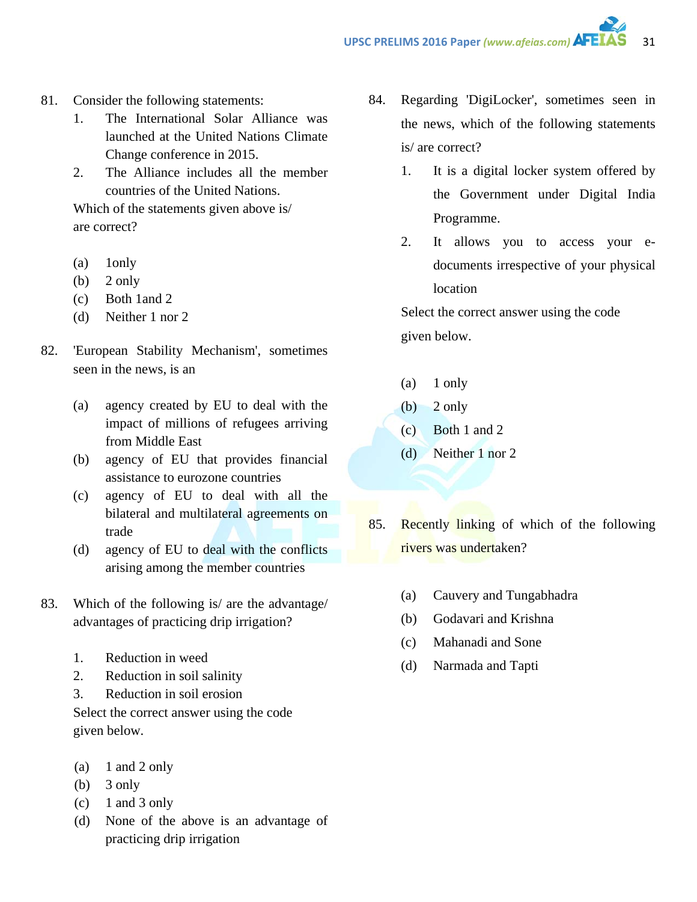- 81. Consider the following statements:
	- 1. The International Solar Alliance was launched at the United Nations Climate Change conference in 2015.
	- 2. The Alliance includes all the member countries of the United Nations.

Which of the statements given above is/ are correct?

- (a) 1only
- (b)  $2$  only
- (c) Both 1and 2
- (d) Neither 1 nor 2
- 82. 'European Stability Mechanism', sometimes seen in the news, is an
	- (a) agency created by EU to deal with the impact of millions of refugees arriving from Middle East
	- (b) agency of EU that provides financial assistance to eurozone countries
	- (c) agency of EU to deal with all the bilateral and multilateral agreements on trade
	- (d) agency of EU to deal with the conflicts arising among the member countries
- 83. Which of the following is/ are the advantage/ advantages of practicing drip irrigation?
	- 1. Reduction in weed
	- 2. Reduction in soil salinity
	- 3. Reduction in soil erosion

Select the correct answer using the code given below.

- (a)  $1$  and  $2$  only
- (b) 3 only
- $(c)$  1 and 3 only
- (d) None of the above is an advantage of practicing drip irrigation
- 84. Regarding 'DigiLocker', sometimes seen in the news, which of the following statements is/ are correct?
	- 1. It is a digital locker system offered by the Government under Digital India Programme.
	- 2. It allows you to access your edocuments irrespective of your physical location

Select the correct answer using the code given below.

- (a) 1 only
- $(b)$  2 only
- (c) Both 1 and 2
- (d) Neither 1 nor 2
- 85. Recently linking of which of the following rivers was undertaken?
	- (a) Cauvery and Tungabhadra
	- (b) Godavari and Krishna
	- (c) Mahanadi and Sone
	- (d) Narmada and Tapti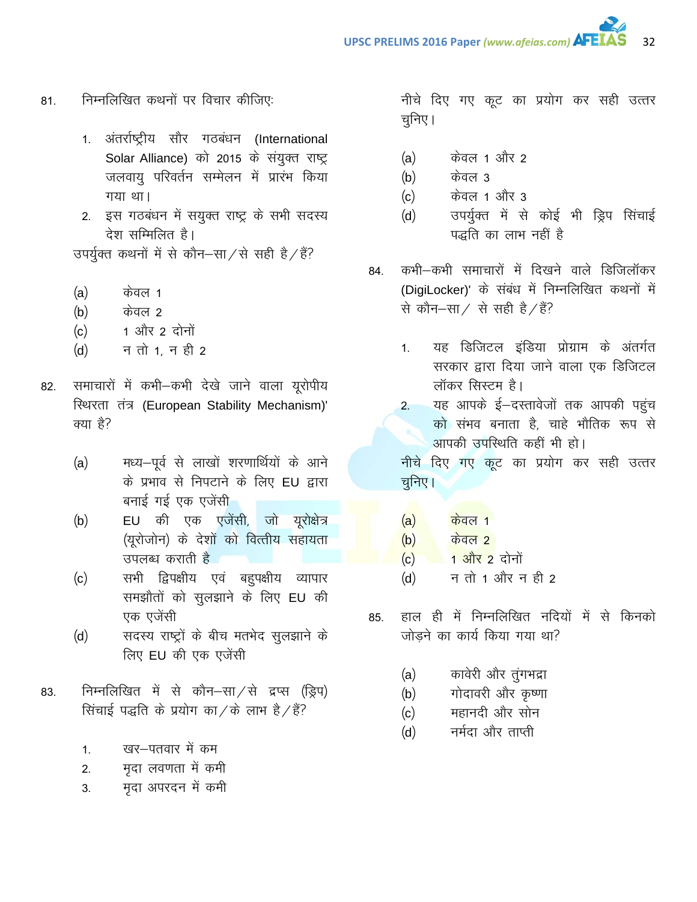- निम्नलिखित कथनों पर विचार कीजिए: 81.
	- 1. अंतर्राष्ट्रीय सौर गठबंधन (International Solar Alliance) को 2015 के संयुक्त राष्ट्र जलवायू परिवर्तन सम्मेलन में प्रारंभ किया गया था।
	- 2. इस गठबंधन में सयुक्त राष्ट्र के सभी सदस्य देश सम्मिलित है।

उपर्युक्त कथनों में से कौन-सा/से सही है/हैं?

- केवल 1  $(a)$
- केवल २  $(b)$
- 1 और 2 दोनों  $(c)$
- न तो 1, न ही 2  $(d)$
- समाचारों में कभी-कभी देखे जाने वाला यूरोपीय 82. रिथरता तंत्र (European Stability Mechanism)' क्या है?
	- मध्य-पूर्व से लाखों शरणार्थियों के आने  $(a)$ के प्रभाव से निपटाने के लिए EU द्वारा बनाई गई एक एजेंस<u>ी</u>
	- EU की एक एजेंसी, जो यूरोक्षेत्र  $(b)$ (युरोजोन) के देशों को वित्तीय सहायता उपलब्ध कराती है
	- सभी द्विपक्षीय एवं बहुपक्षीय व्यापार  $(c)$ समझौतों को सुलझाने के लिए EU की एक एजेंसी
	- सदस्य राष्ट्रों के बीच मतभेद सुलझाने के  $(d)$ लिए EU की एक एजेंसी
- निम्नलिखित में से कौन-सा $/$ से द्रप्स (ड्रिप) 83. सिंचाई पद्धति के प्रयोग का / के लाभ है / हैं?
	- खर—पतवार में कम  $\mathbf{1}$
	- मृदा लवणता में कमी  $2.$
	- मृदा अपरदन में कमी  $3<sub>1</sub>$

नीचे दिए गए कूट का प्रयोग कर सही उत्तर चनिए।

- केवल 1 और 2  $(a)$
- केवल 3  $(b)$
- केवल 1 और 3  $(c)$
- उपर्युक्त में से कोई भी ड्रिप सिंचाई  $(d)$ पद्धति का लाभ नहीं है
- कभी-कभी समाचारों में दिखने वाले डिजिलॉकर 84. (DigiLocker)' के संबंध में निम्नलिखित कथनों में से कौन-सा / से सही है / हैं?
	- यह डिजिटल इंडिया प्रोग्राम के अंतर्गत  $1<sup>1</sup>$ सरकार द्वारा दिया जाने वाला एक डिजिटल लॉकर सिस्टम है।
	- यह आपके ई-दस्तावेजों तक आपकी पहुंच  $2.$ को संभव बनाता है, चाहे भौतिक रूप से आपकी उपस्थिति कहीं भी हो।

नीचे दिए गए कूट का प्रयोग कर सही उत्तर चुनिए।

- $\frac{1}{100}$ केवल 1  $(a)$
- $\frac{1}{100}$ केवल २  $(b)$
- 1 और 2 दोनों  $(c)$
- $(d)$ न तो 1 और न ही 2
- हाल ही में निम्नलिखित नदियों में से किनको 85. जोड़ने का कार्य किया गया था?
	- कावेरी और तुंगभद्रा  $(a)$
	- गोदावरी और कृष्णा  $(b)$
	- महानदी और सोन  $(c)$
	- नर्मदा और ताप्ती  $(d)$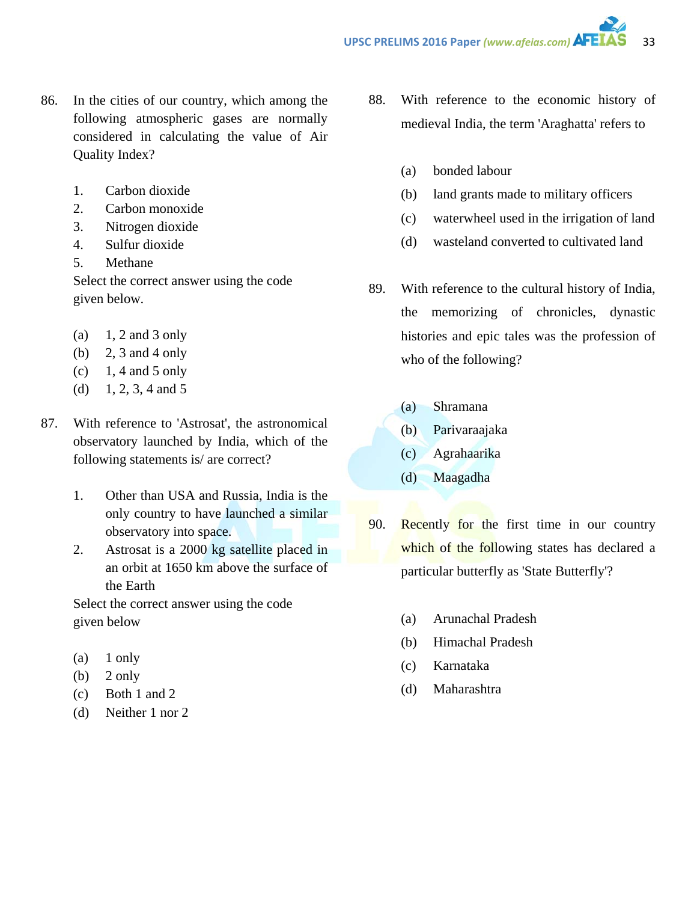- 86. In the cities of our country, which among the following atmospheric gases are normally considered in calculating the value of Air Quality Index?
	- 1. Carbon dioxide
	- 2. Carbon monoxide
	- 3. Nitrogen dioxide
	- 4. Sulfur dioxide
	- 5. Methane

Select the correct answer using the code given below.

- (a)  $1, 2$  and 3 only
- (b) 2, 3 and 4 only
- $(c)$  1, 4 and 5 only
- (d)  $1, 2, 3, 4$  and 5
- 87. With reference to 'Astrosat', the astronomical observatory launched by India, which of the following statements is/ are correct?
	- 1. Other than USA and Russia, India is the only country to have launched a similar observatory into space.
	- 2. Astrosat is a 2000 kg satellite placed in an orbit at 1650 km above the surface of the Earth

Select the correct answer using the code given below

- (a) 1 only
- $(b)$  2 only
- (c) Both 1 and 2
- (d) Neither 1 nor 2
- 88. With reference to the economic history of medieval India, the term 'Araghatta' refers to
	- (a) bonded labour
	- (b) land grants made to military officers
	- (c) waterwheel used in the irrigation of land
	- (d) wasteland converted to cultivated land
- 89. With reference to the cultural history of India, the memorizing of chronicles, dynastic histories and epic tales was the profession of who of the following?
	- (a) Shramana
	- (b) Parivaraajaka
	- (c) Agrahaarika
	- (d) Maagadha
- 90. Recently for the first time in our country which of the following states has declared a particular butterfly as 'State Butterfly'?
	- (a) Arunachal Pradesh
	- (b) Himachal Pradesh
	- (c) Karnataka
	- (d) Maharashtra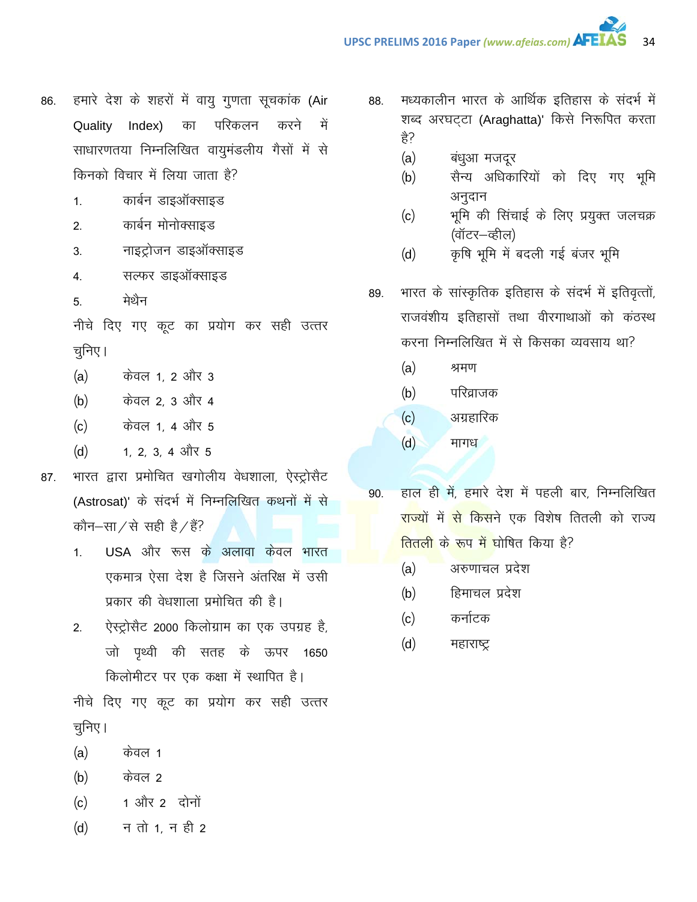- हमारे देश के शहरों में वायु गुणता सूचकांक (Air 86. परिकलन Quality Index) का करने में साधारणतया निम्नलिखित वायुमंडलीय गैसों में से किनको विचार में लिया जाता है?
	- कार्बन डाइऑक्साइड  $1.$
	- कार्बन मोनोक्साइड  $2.$
	- नाइट्रोजन डाइऑक्साइड  $3.$
	- सल्फर डाइऑक्साइड  $\overline{4}$ .
	- मेथैन 5.

नीचे दिए गए कूट का प्रयोग कर सही उत्तर चूनिए।

- केवल 1, 2 और 3  $(a)$
- केवल 2, 3 और 4  $(b)$
- $(c)$ केवल 1, 4 और 5
- 1, 2, 3, 4 और 5  $(d)$
- भारत द्वारा प्रमोचित खगोलीय वेधशाला, ऐस्ट्रोसैट 87. (Astrosat)' के संदर्भ में निम्नलिखित कथनों में से कौन–सा⁄से सही है/हैं?
	- USA और रूस के अलावा केवल भारत  $\mathbf{1}$ एकमात्र ऐसा देश है जिसने अंतरिक्ष में उसी प्रकार की वेधशाला प्रमोचित की है।
	- ऐस्ट्रोसैट 2000 किलोग्राम का एक उपग्रह है,  $2.$ जो पृथ्वी की सतह के ऊपर 1650 किलोमीटर पर एक कक्षा में स्थापित है।

नीचे दिए गए कूट का प्रयोग कर सही उत्तर चुनिए।

- केवल 1  $(a)$
- केवल 2  $(b)$
- 1 और 2 दोनों  $(c)$
- न तो 1, न ही 2  $(d)$
- मध्यकालीन भारत के आर्थिक इतिहास के संदर्भ में 88. शब्द अरघट्टा (Araghatta)' किसे निरूपित करता है?
	- $(a)$ बंधुआ मजदूर
	- सैन्य अधिकारियों को दिए गए भूमि  $(b)$ अनुदान
	- भूमि की सिंचाई के लिए प्रयुक्त जलचक्र  $(c)$ (वॉटर—व्हील)
	- कृषि भूमि में बदली गई बंजर भूमि  $(d)$
- भारत के सांस्कृतिक इतिहास के संदर्भ में इतिवृत्तों, 89. राजवंशीय इतिहासों तथा वीरगाथाओं को कंठस्थ करना निम्नलिखित में से किसका व्यवसाय था?
	- $(a)$ श्रमण
	- $(b)$ परिव्राजक
	- अग्रहारिक  $(c)$
	- $(d)$ मागध
- हाल ही में, हमारे देश में पहली बार, निम्नलिखित 90. <mark>राज्यों में से किस</mark>ने एक विशेष तितली को राज्य <mark>तितली के रूप में घोषित किया है?</mark>
	- अरुणाचल प्रदेश  $(a)$
	- हिमाचल प्रदेश  $(b)$
	- कर्नाटक  $(c)$
	- $(d)$ महाराष्ट्र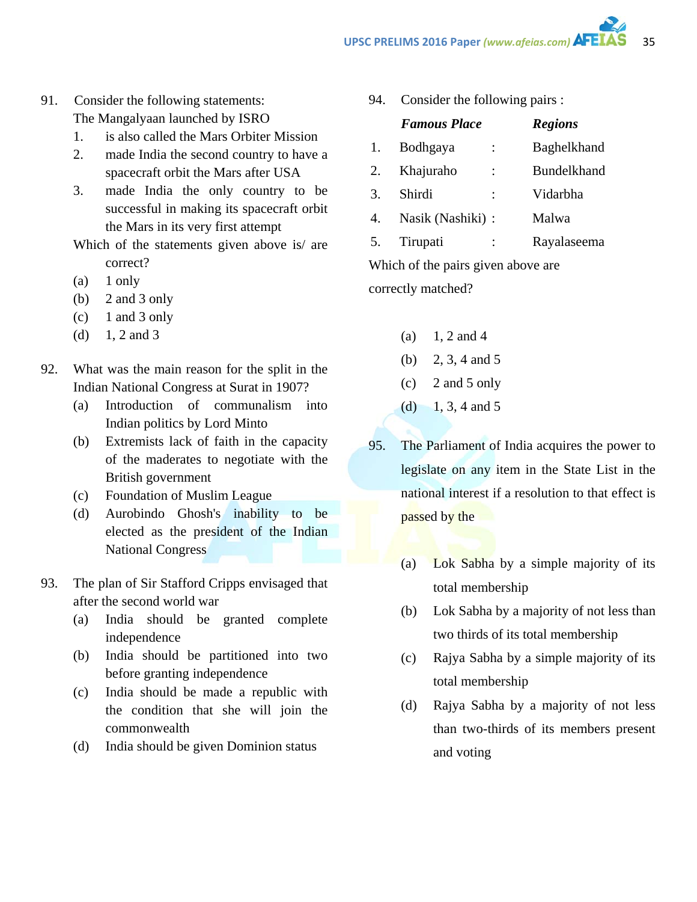- 91. Consider the following statements: The Mangalyaan launched by ISRO
	- 1. is also called the Mars Orbiter Mission
	- 2. made India the second country to have a spacecraft orbit the Mars after USA
	- 3. made India the only country to be successful in making its spacecraft orbit the Mars in its very first attempt
	- Which of the statements given above is/ are correct?
	- $(a)$  1 only
	- (b) 2 and 3 only
	- $(c)$  1 and 3 only
	- (d)  $1, 2$  and 3
- 92. What was the main reason for the split in the Indian National Congress at Surat in 1907?
	- (a) Introduction of communalism into Indian politics by Lord Minto
	- (b) Extremists lack of faith in the capacity of the maderates to negotiate with the British government
	- (c) Foundation of Muslim League
	- (d) Aurobindo Ghosh's inability to be elected as the president of the Indian National Congress
- 93. The plan of Sir Stafford Cripps envisaged that after the second world war
	- (a) India should be granted complete independence
	- (b) India should be partitioned into two before granting independence
	- (c) India should be made a republic with the condition that she will join the commonwealth
	- (d) India should be given Dominion status

94. Consider the following pairs :

|    | <b>Famous Place</b> |                | <b>Regions</b>     |
|----|---------------------|----------------|--------------------|
| 1. | Bodhgaya            |                | <b>Baghelkhand</b> |
| 2. | Khajuraho           | $\ddot{\cdot}$ | <b>Bundelkhand</b> |
| 3. | Shirdi              |                | Vidarbha           |
| 4. | Nasik (Nashiki) :   |                | Malwa              |
| 5. | Tirupati            |                | Rayalaseema        |
|    |                     |                |                    |

Which of the pairs given above are correctly matched?

- $(a) \quad 1, 2 \text{ and } 4$
- (b) 2, 3, 4 and 5
- (c) 2 and 5 only
- (d)  $1, 3, 4$  and 5
- 95. The Parliament of India acquires the power to legislate on any item in the State List in the national interest if a resolution to that effect is passed by the
	- (a) Lok Sabha by a simple majority of its total membership
	- (b) Lok Sabha by a majority of not less than two thirds of its total membership
	- (c) Rajya Sabha by a simple majority of its total membership
	- (d) Rajya Sabha by a majority of not less than two-thirds of its members present and voting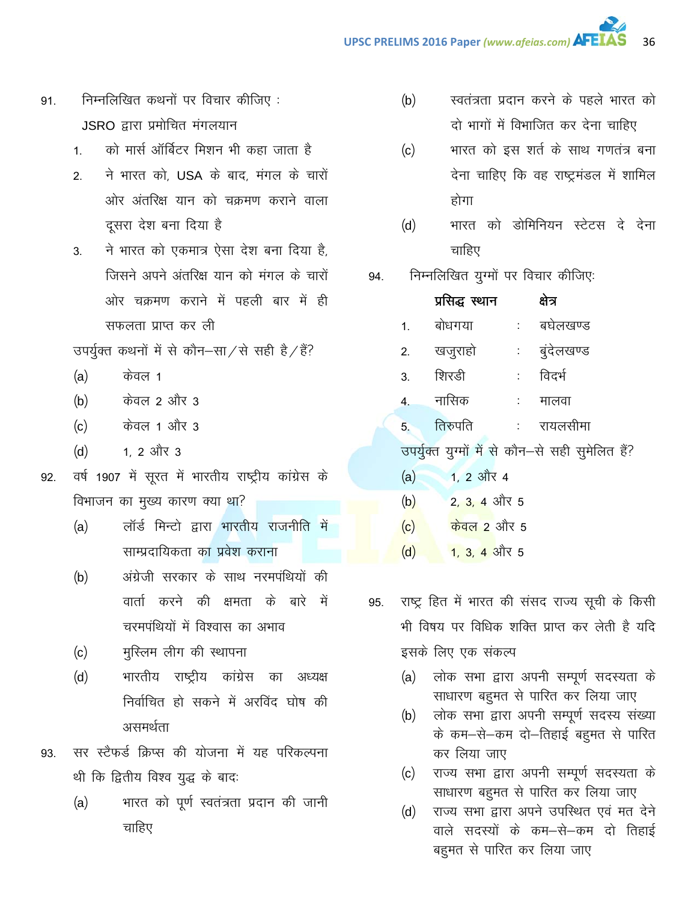- निम्नलिखित कथनों पर विचार कीजिए: 91. JSRO द्वारा प्रमोचित मंगलयान
	- को मार्स ऑर्बिटर मिशन भी कहा जाता है  $1<sub>1</sub>$
	- ने भारत को, USA के बाद, मंगल के चारों  $2.$ ओर अंतरिक्ष यान को चक्रमण कराने वाला दूसरा देश बना दिया है
	- ने भारत को एकमात्र ऐसा देश बना दिया है.  $3<sub>1</sub>$ जिसने अपने अंतरिक्ष यान को मंगल के चारों ओर चक्रमण कराने में पहली बार में ही सफलता प्राप्त कर ली

उपर्युक्त कथनों में से कौन–सा⁄से सही है/हैं?

- $(a)$ केवल 1
- केवल 2 और 3  $(b)$
- केवल 1 और 3  $(c)$
- 1. 2 और 3  $(d)$
- वर्ष 1907 में सूरत में भारतीय राष्ट्रीय कांग्रेस के 92. विभाजन का मुख्य कारण क्या था?
	- $(a)$ लॉर्ड मिन्टो द्वारा भारतीय राजनीति में साम्प्रदायिकता का प्रवेश कराना
	- अंग्रेजी सरकार के साथ नरमपंथियों की  $(b)$ वार्ता करने की क्षमता के बारे में चरमपंथियों में विश्वास का अभाव
	- मुस्लिम लीग की स्थापना  $(c)$
	- भारतीय राष्ट्रीय कांग्रेस  $(d)$ का अध्यक्ष निर्वाचित हो सकने में अरविंद घोष की असमर्थता
- सर स्टैफर्ड क्रिप्स की योजना में यह परिकल्पना 93. थी कि द्वितीय विश्व युद्ध के बाद:
	- भारत को पूर्ण स्वतंत्रता प्रदान की जानी  $(a)$ चाहिए
- $(b)$ स्वतंत्रता प्रदान करने के पहले भारत को दो भागों में विभाजित कर देना चाहिए
- भारत को इस शर्त के साथ गणतंत्र बना  $(c)$ देना चाहिए कि वह राष्ट्रमंडल में शामिल होगा
- भारत को डोमिनियन स्टेटस दे देना  $(d)$ चाहिए
- निम्नलिखित युग्मों पर विचार कीजिएः 94.

|     | प्रसिद्ध स्थान              |                          | क्षेत्र                                          |
|-----|-----------------------------|--------------------------|--------------------------------------------------|
| 1.  | बोधगया                      |                          | : बघेलखण्ड                                       |
| 2.  | खजुराहो                     |                          | : बुंदेलखण्ड                                     |
| 3.  | शिरडी                       | $\sim 10^{11}$ m $^{-1}$ | विदर्भ                                           |
|     | 4. नासिक                    |                          | : मालवा                                          |
| 5.  | तिरुपति                     |                          | ः रायलसीमा                                       |
|     |                             |                          | उपर्युक्त युग्मों में से कौन-से सही सुमेलित हैं? |
| (a) | 1, 2 और 4                   |                          |                                                  |
| (b) | 2, 3, 4 और 5                |                          |                                                  |
| (c) | $\frac{1}{100}$ केवल 2 और 5 |                          |                                                  |

- $(d)$ 1, 3, 4 और 5
- राष्ट्र हित में भारत की संसद राज्य सूची के किसी 95. भी विषय पर विधिक शक्ति प्राप्त कर लेती है यदि इसके लिए एक संकल्प
	- लोक सभा द्वारा अपनी सम्पूर्ण सदस्यता के  $(a)$ साधारण बहुमत से पारित कर लिया जाए
	- लोक सभा द्वारा अपनी सम्पूर्ण सदस्य संख्या  $(b)$ के कम-से-कम दो-तिहाई बहुमत से पारित कर लिया जाए
	- राज्य सभा द्वारा अपनी सम्पूर्ण सदस्यता के  $(c)$ साधारण बहुमत से पारित कर लिया जाए
	- राज्य सभा द्वारा अपने उपस्थित एवं मत देने  $(d)$ वाले सदस्यों के कम—से—कम दो तिहाई बहुमत से पारित कर लिया जाए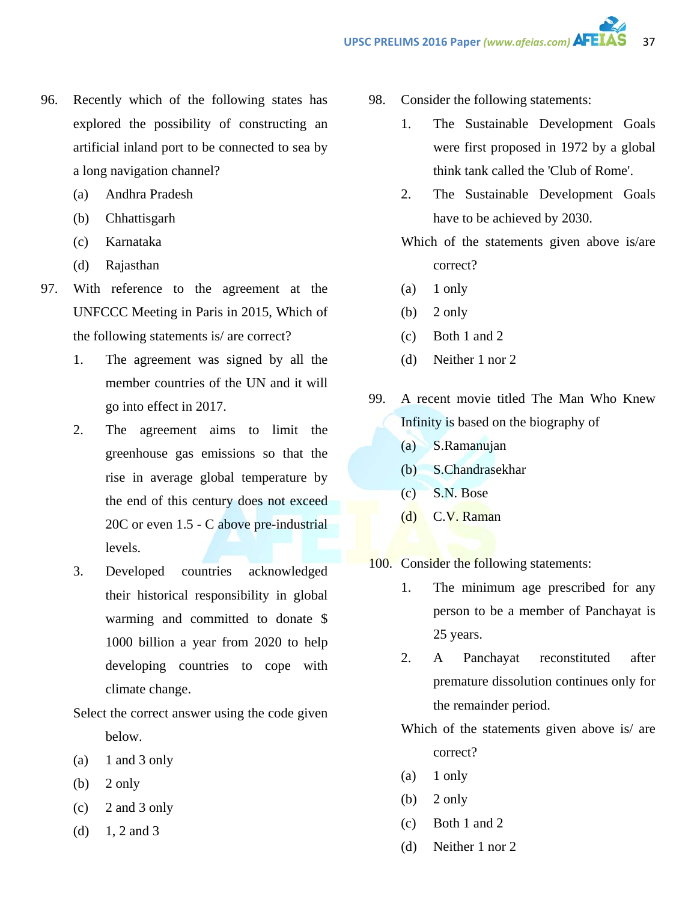- 96. Recently which of the following states has explored the possibility of constructing an artificial inland port to be connected to sea by a long navigation channel?
	- (a) Andhra Pradesh
	- (b) Chhattisgarh
	- (c) Karnataka
	- (d) Rajasthan
- 97. With reference to the agreement at the UNFCCC Meeting in Paris in 2015, Which of the following statements is/ are correct?
	- 1. The agreement was signed by all the member countries of the UN and it will go into effect in 2017.
	- 2. The agreement aims to limit the greenhouse gas emissions so that the rise in average global temperature by the end of this century does not exceed 20C or even 1.5 - C above pre-industrial levels.
	- 3. Developed countries acknowledged their historical responsibility in global warming and committed to donate \$ 1000 billion a year from 2020 to help developing countries to cope with climate change.
	- Select the correct answer using the code given below.
	- (a)  $1$  and  $3$  only
	- (b)  $2 \text{ only}$
	- (c) 2 and 3 only
	- (d)  $1, 2$  and 3
- 98. Consider the following statements:
	- 1. The Sustainable Development Goals were first proposed in 1972 by a global think tank called the 'Club of Rome'.
	- 2. The Sustainable Development Goals have to be achieved by 2030.

Which of the statements given above is/are correct?

- $(a)$  1 only
- $(b)$  2 only
- (c) Both 1 and 2
- (d) Neither 1 nor 2
- 99. A recent movie titled The Man Who Knew Infinity is based on the biography of
	- (a) S.Ramanujan
	- (b) S.Chandrasekhar
	- (c) S.N. Bose
	- (d) C.V. Raman
- 100. Consider the following statements:
	- 1. The minimum age prescribed for any person to be a member of Panchayat is 25 years.
	- 2. A Panchayat reconstituted after premature dissolution continues only for the remainder period.

Which of the statements given above is/ are correct?

- (a) 1 only
- (b)  $2 \text{ only}$
- (c) Both 1 and 2
- (d) Neither 1 nor 2